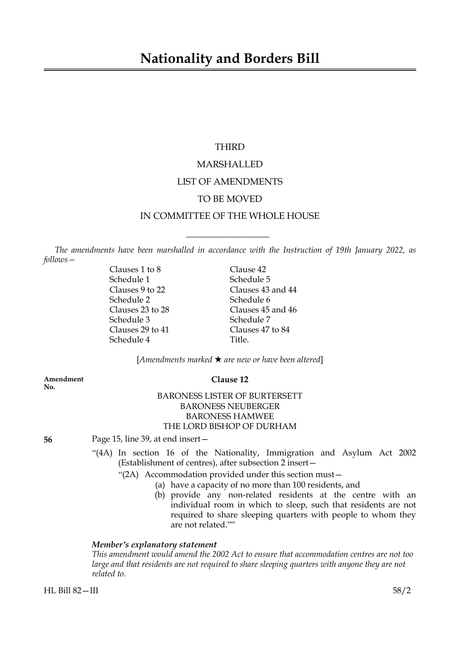# THIRD

# MARSHALLED LIST OF AMENDMENTS TO BE MOVED IN COMMITTEE OF THE WHOLE HOUSE

*The amendments have been marshalled in accordance with the Instruction of 19th January 2022, as follows—*

 $\overline{\phantom{a}}$  , where  $\overline{\phantom{a}}$ 

Clauses 1 to 8 Clause 42 Schedule 1 Schedule 5 Schedule 2 Schedule 6<br>
Clauses 23 to 28 Clauses 45 Schedule 3 Schedule 7 Clauses 29 to 41 Clauses 47 to 84 Schedule 4 Title.

Clauses 9 to 22 Clauses 43 and 44 Clauses 45 and 46

[*Amendments marked* \* *are new or have been altered*]

**Amendment Clause 12 No.**

# BARONESS LISTER OF BURTERSETT BARONESS NEUBERGER BARONESS HAMWEE THE LORD BISHOP OF DURHAM

**56** Page 15, line 39, at end insert—

- "(4A) In section 16 of the Nationality, Immigration and Asylum Act 2002 (Establishment of centres), after subsection 2 insert—
	- "(2A) Accommodation provided under this section must—
		- (a) have a capacity of no more than 100 residents, and
			- (b) provide any non-related residents at the centre with an individual room in which to sleep, such that residents are not required to share sleeping quarters with people to whom they are not related.""

# *Member's explanatory statement*

*This amendment would amend the 2002 Act to ensure that accommodation centres are not too large and that residents are not required to share sleeping quarters with anyone they are not related to.*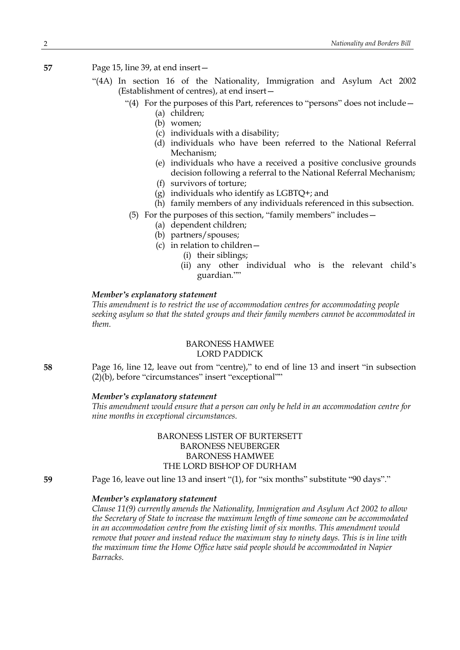**57** Page 15, line 39, at end insert—

- "(4A) In section 16 of the Nationality, Immigration and Asylum Act 2002 (Establishment of centres), at end insert—
	- "(4) For the purposes of this Part, references to "persons" does not include—
		- (a) children;
		- (b) women;
		- (c) individuals with a disability;
		- (d) individuals who have been referred to the National Referral Mechanism;
		- (e) individuals who have a received a positive conclusive grounds decision following a referral to the National Referral Mechanism;
		- (f) survivors of torture;
		- (g) individuals who identify as LGBTQ+; and
		- (h) family members of any individuals referenced in this subsection.
	- (5) For the purposes of this section, "family members" includes—
		- (a) dependent children;
		- (b) partners/spouses;
		- (c) in relation to children—
			- (i) their siblings;
			- (ii) any other individual who is the relevant child's guardian.""

### *Member's explanatory statement*

*This amendment is to restrict the use of accommodation centres for accommodating people seeking asylum so that the stated groups and their family members cannot be accommodated in them.*

# BARONESS HAMWEE LORD PADDICK

**58** Page 16, line 12, leave out from "centre)," to end of line 13 and insert "in subsection (2)(b), before "circumstances" insert "exceptional""

# *Member's explanatory statement*

*This amendment would ensure that a person can only be held in an accommodation centre for nine months in exceptional circumstances.*

# BARONESS LISTER OF BURTERSETT BARONESS NEUBERGER BARONESS HAMWEE THE LORD BISHOP OF DURHAM

**59** Page 16, leave out line 13 and insert "(1), for "six months" substitute "90 days"."

# *Member's explanatory statement*

*Clause 11(9) currently amends the Nationality, Immigration and Asylum Act 2002 to allow the Secretary of State to increase the maximum length of time someone can be accommodated in an accommodation centre from the existing limit of six months. This amendment would remove that power and instead reduce the maximum stay to ninety days. This is in line with the maximum time the Home Office have said people should be accommodated in Napier Barracks.*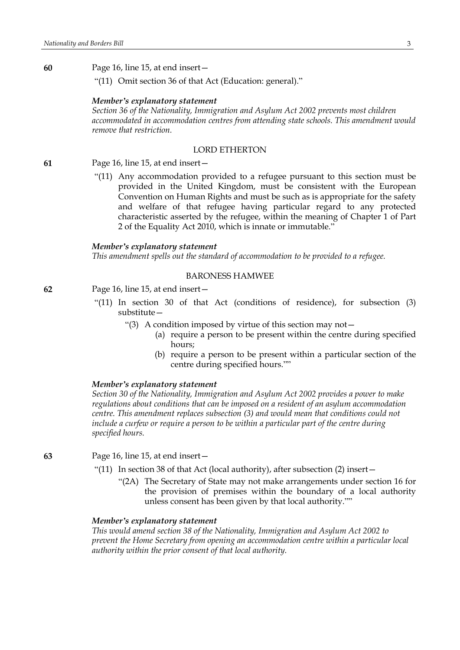**60** Page 16, line 15, at end insert—

"(11) Omit section 36 of that Act (Education: general)."

#### *Member's explanatory statement*

*Section 36 of the Nationality, Immigration and Asylum Act 2002 prevents most children accommodated in accommodation centres from attending state schools. This amendment would remove that restriction.*

# LORD ETHERTON

# **61** Page 16, line 15, at end insert—

"(11) Any accommodation provided to a refugee pursuant to this section must be provided in the United Kingdom, must be consistent with the European Convention on Human Rights and must be such as is appropriate for the safety and welfare of that refugee having particular regard to any protected characteristic asserted by the refugee, within the meaning of Chapter 1 of Part 2 of the Equality Act 2010, which is innate or immutable."

#### *Member's explanatory statement*

*This amendment spells out the standard of accommodation to be provided to a refugee.*

# BARONESS HAMWEE

**62** Page 16, line 15, at end insert—

- "(11) In section 30 of that Act (conditions of residence), for subsection (3) substitute—
	- "(3) A condition imposed by virtue of this section may not  $-$ 
		- (a) require a person to be present within the centre during specified hours;
		- (b) require a person to be present within a particular section of the centre during specified hours.""

# *Member's explanatory statement*

*Section 30 of the Nationality, Immigration and Asylum Act 2002 provides a power to make regulations about conditions that can be imposed on a resident of an asylum accommodation centre. This amendment replaces subsection (3) and would mean that conditions could not include a curfew or require a person to be within a particular part of the centre during specified hours.*

**63** Page 16, line 15, at end insert—

- "(11) In section 38 of that Act (local authority), after subsection (2) insert—
	- "(2A) The Secretary of State may not make arrangements under section 16 for the provision of premises within the boundary of a local authority unless consent has been given by that local authority.""

# *Member's explanatory statement*

*This would amend section 38 of the Nationality, Immigration and Asylum Act 2002 to prevent the Home Secretary from opening an accommodation centre within a particular local authority within the prior consent of that local authority.*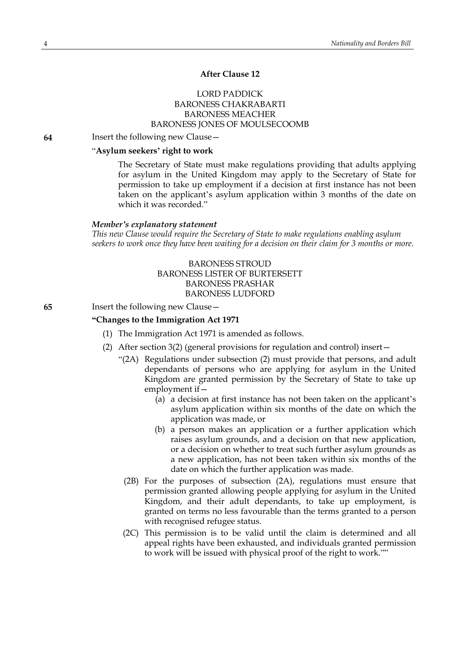# **After Clause 12**

# LORD PADDICK BARONESS CHAKRABARTI BARONESS MEACHER BARONESS JONES OF MOULSECOOMB

**64** Insert the following new Clause—

# "**Asylum seekers' right to work**

The Secretary of State must make regulations providing that adults applying for asylum in the United Kingdom may apply to the Secretary of State for permission to take up employment if a decision at first instance has not been taken on the applicant's asylum application within 3 months of the date on which it was recorded."

#### *Member's explanatory statement*

*This new Clause would require the Secretary of State to make regulations enabling asylum* seekers to work once they have been waiting for a decision on their claim for 3 months or more.

> BARONESS STROUD BARONESS LISTER OF BURTERSETT BARONESS PRASHAR BARONESS LUDFORD

#### **65** Insert the following new Clause—

### **"Changes to the Immigration Act 1971**

- (1) The Immigration Act 1971 is amended as follows.
- (2) After section 3(2) (general provisions for regulation and control) insert—
	- "(2A) Regulations under subsection (2) must provide that persons, and adult dependants of persons who are applying for asylum in the United Kingdom are granted permission by the Secretary of State to take up employment if—
		- (a) a decision at first instance has not been taken on the applicant's asylum application within six months of the date on which the application was made, or
		- (b) a person makes an application or a further application which raises asylum grounds, and a decision on that new application, or a decision on whether to treat such further asylum grounds as a new application, has not been taken within six months of the date on which the further application was made.
		- (2B) For the purposes of subsection (2A), regulations must ensure that permission granted allowing people applying for asylum in the United Kingdom, and their adult dependants, to take up employment, is granted on terms no less favourable than the terms granted to a person with recognised refugee status.
		- (2C) This permission is to be valid until the claim is determined and all appeal rights have been exhausted, and individuals granted permission to work will be issued with physical proof of the right to work.""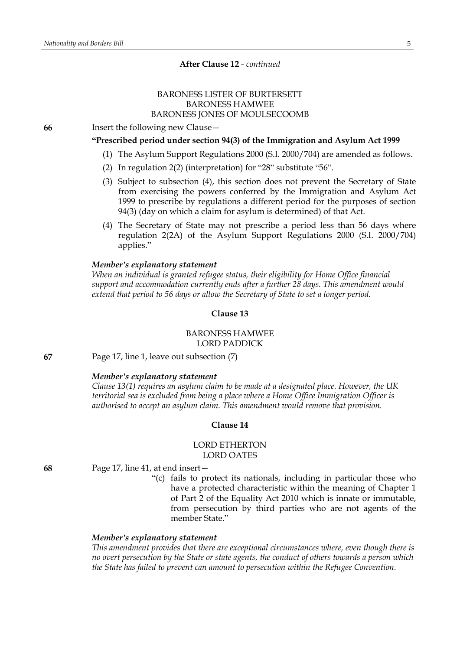# BARONESS LISTER OF BURTERSETT BARONESS HAMWEE BARONESS JONES OF MOULSECOOMB

**66** Insert the following new Clause—

# **"Prescribed period under section 94(3) of the Immigration and Asylum Act 1999**

- (1) The Asylum Support Regulations 2000 (S.I. 2000/704) are amended as follows.
- (2) In regulation 2(2) (interpretation) for "28" substitute "56".
- (3) Subject to subsection (4), this section does not prevent the Secretary of State from exercising the powers conferred by the Immigration and Asylum Act 1999 to prescribe by regulations a different period for the purposes of section 94(3) (day on which a claim for asylum is determined) of that Act.
- (4) The Secretary of State may not prescribe a period less than 56 days where regulation 2(2A) of the Asylum Support Regulations 2000 (S.I. 2000/704) applies."

### *Member's explanatory statement*

*When an individual is granted refugee status, their eligibility for Home Office financial support and accommodation currently ends after a further 28 days. This amendment would extend that period to 56 days or allow the Secretary of State to set a longer period.*

# **Clause 13**

# BARONESS HAMWEE LORD PADDICK

**67** Page 17, line 1, leave out subsection (7)

# *Member's explanatory statement*

*Clause 13(1) requires an asylum claim to be made at a designated place. However, the UK territorial sea is excluded from being a place where a Home Office Immigration Officer is authorised to accept an asylum claim. This amendment would remove that provision.*

#### **Clause 14**

# LORD ETHERTON LORD OATES

**68** Page 17, line 41, at end insert—

"(c) fails to protect its nationals, including in particular those who have a protected characteristic within the meaning of Chapter 1 of Part 2 of the Equality Act 2010 which is innate or immutable, from persecution by third parties who are not agents of the member State."

### *Member's explanatory statement*

*This amendment provides that there are exceptional circumstances where, even though there is no overt persecution by the State or state agents, the conduct of others towards a person which the State has failed to prevent can amount to persecution within the Refugee Convention.*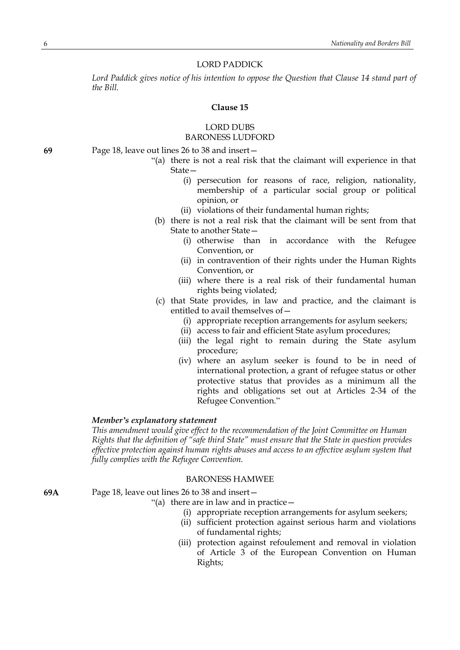### LORD PADDICK

*Lord Paddick gives notice of his intention to oppose the Question that Clause 14 stand part of the Bill.*

# **Clause 15**

# LORD DUBS BARONESS LUDFORD

- **69** Page 18, leave out lines 26 to 38 and insert—
	- "(a) there is not a real risk that the claimant will experience in that State—
		- (i) persecution for reasons of race, religion, nationality, membership of a particular social group or political opinion, or
		- (ii) violations of their fundamental human rights;
	- (b) there is not a real risk that the claimant will be sent from that State to another State—
		- (i) otherwise than in accordance with the Refugee Convention, or
		- (ii) in contravention of their rights under the Human Rights Convention, or
		- (iii) where there is a real risk of their fundamental human rights being violated;
	- (c) that State provides, in law and practice, and the claimant is entitled to avail themselves of—
		- (i) appropriate reception arrangements for asylum seekers;
		- (ii) access to fair and efficient State asylum procedures;
		- (iii) the legal right to remain during the State asylum procedure;
		- (iv) where an asylum seeker is found to be in need of international protection, a grant of refugee status or other protective status that provides as a minimum all the rights and obligations set out at Articles 2-34 of the Refugee Convention."

### *Member's explanatory statement*

*This amendment would give effect to the recommendation of the Joint Committee on Human Rights that the definition of "safe third State" must ensure that the State in question provides effective protection against human rights abuses and access to an effective asylum system that fully complies with the Refugee Convention.*

### BARONESS HAMWEE

**69A** Page 18, leave out lines 26 to 38 and insert—

"(a) there are in law and in practice—

- (i) appropriate reception arrangements for asylum seekers;
- (ii) sufficient protection against serious harm and violations of fundamental rights;
- (iii) protection against refoulement and removal in violation of Article 3 of the European Convention on Human Rights;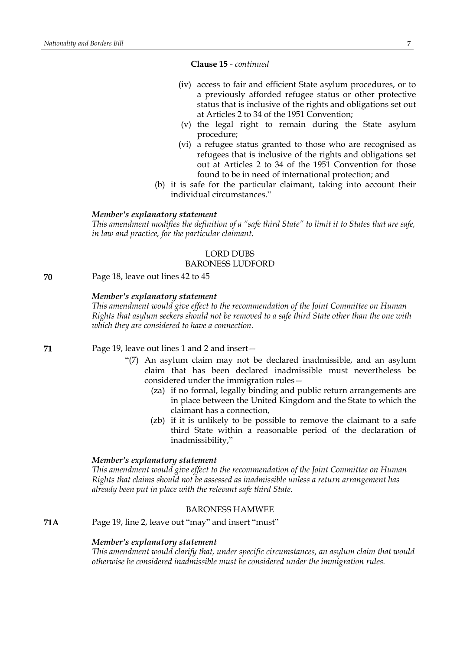### **Clause 15** *- continued*

- (iv) access to fair and efficient State asylum procedures, or to a previously afforded refugee status or other protective status that is inclusive of the rights and obligations set out at Articles 2 to 34 of the 1951 Convention;
- (v) the legal right to remain during the State asylum procedure;
- (vi) a refugee status granted to those who are recognised as refugees that is inclusive of the rights and obligations set out at Articles 2 to 34 of the 1951 Convention for those found to be in need of international protection; and
- (b) it is safe for the particular claimant, taking into account their individual circumstances."

#### *Member's explanatory statement*

This amendment modifies the definition of a "safe third State" to limit it to States that are safe, *in law and practice, for the particular claimant.*

# LORD DUBS BARONESS LUDFORD

**70** Page 18, leave out lines 42 to 45

### *Member's explanatory statement*

*This amendment would give effect to the recommendation of the Joint Committee on Human Rights that asylum seekers should not be removed to a safe third State other than the one with which they are considered to have a connection.*

**71** Page 19, leave out lines 1 and 2 and insert—

- "(7) An asylum claim may not be declared inadmissible, and an asylum claim that has been declared inadmissible must nevertheless be considered under the immigration rules—
	- (za) if no formal, legally binding and public return arrangements are in place between the United Kingdom and the State to which the claimant has a connection,
	- (zb) if it is unlikely to be possible to remove the claimant to a safe third State within a reasonable period of the declaration of inadmissibility,"

#### *Member's explanatory statement*

*This amendment would give effect to the recommendation of the Joint Committee on Human Rights that claims should not be assessed as inadmissible unless a return arrangement has already been put in place with the relevant safe third State.*

# BARONESS HAMWEE

**71A** Page 19, line 2, leave out "may" and insert "must"

### *Member's explanatory statement*

*This amendment would clarify that, under specific circumstances, an asylum claim that would otherwise be considered inadmissible must be considered under the immigration rules.*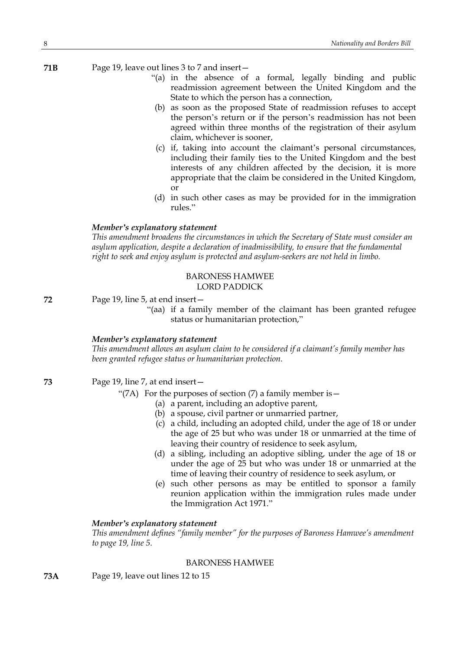**71B** Page 19, leave out lines 3 to 7 and insert—

- "(a) in the absence of a formal, legally binding and public readmission agreement between the United Kingdom and the State to which the person has a connection,
- (b) as soon as the proposed State of readmission refuses to accept the person's return or if the person's readmission has not been agreed within three months of the registration of their asylum claim, whichever is sooner,
- (c) if, taking into account the claimant's personal circumstances, including their family ties to the United Kingdom and the best interests of any children affected by the decision, it is more appropriate that the claim be considered in the United Kingdom, or
- (d) in such other cases as may be provided for in the immigration rules."

### *Member's explanatory statement*

*This amendment broadens the circumstances in which the Secretary of State must consider an asylum application, despite a declaration of inadmissibility, to ensure that the fundamental right to seek and enjoy asylum is protected and asylum-seekers are not held in limbo.*

# BARONESS HAMWEE LORD PADDICK

**72** Page 19, line 5, at end insert—

"(aa) if a family member of the claimant has been granted refugee status or humanitarian protection,"

#### *Member's explanatory statement*

*This amendment allows an asylum claim to be considered if a claimant's family member has been granted refugee status or humanitarian protection.*

**73** Page 19, line 7, at end insert—

- "(7A) For the purposes of section  $(7)$  a family member is  $-$ 
	- (a) a parent, including an adoptive parent,
	- (b) a spouse, civil partner or unmarried partner,
	- (c) a child, including an adopted child, under the age of 18 or under the age of 25 but who was under 18 or unmarried at the time of leaving their country of residence to seek asylum,
	- (d) a sibling, including an adoptive sibling, under the age of 18 or under the age of 25 but who was under 18 or unmarried at the time of leaving their country of residence to seek asylum, or
	- (e) such other persons as may be entitled to sponsor a family reunion application within the immigration rules made under the Immigration Act 1971."

# *Member's explanatory statement*

*This amendment defines "family member" for the purposes of Baroness Hamwee's amendment to page 19, line 5.*

# BARONESS HAMWEE

**73A** Page 19, leave out lines 12 to 15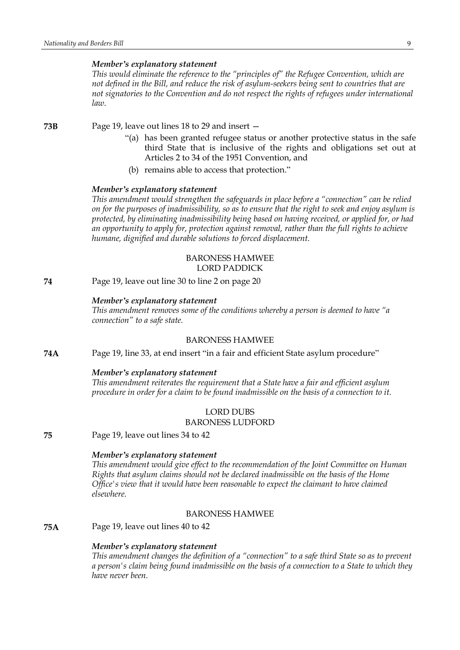### *Member's explanatory statement*

*This would eliminate the reference to the "principles of" the Refugee Convention, which are not defined in the Bill, and reduce the risk of asylum-seekers being sent to countries that are not signatories to the Convention and do not respect the rights of refugees under international law.*

**73B** Page 19, leave out lines 18 to 29 and insert —

- "(a) has been granted refugee status or another protective status in the safe third State that is inclusive of the rights and obligations set out at Articles 2 to 34 of the 1951 Convention, and
- (b) remains able to access that protection."

#### *Member's explanatory statement*

*This amendment would strengthen the safeguards in place before a "connection" can be relied* on for the purposes of inadmissibility, so as to ensure that the right to seek and enjoy asylum is *protected, by eliminating inadmissibility being based on having received, or applied for, or had an opportunity to apply for, protection against removal, rather than the full rights to achieve humane, dignified and durable solutions to forced displacement.*

### BARONESS HAMWEE LORD PADDICK

**74** Page 19, leave out line 30 to line 2 on page 20

#### *Member's explanatory statement*

*This amendment removes some of the conditions whereby a person is deemed to have "a connection" to a safe state.*

# BARONESS HAMWEE

**74A** Page 19, line 33, at end insert "in a fair and efficient State asylum procedure"

# *Member's explanatory statement*

*This amendment reiterates the requirement that a State have a fair and efficient asylum procedure in order for a claim to be found inadmissible on the basis of a connection to it.*

# LORD DUBS BARONESS LUDFORD

**75** Page 19, leave out lines 34 to 42

# *Member's explanatory statement*

*This amendment would give effect to the recommendation of the Joint Committee on Human Rights that asylum claims should not be declared inadmissible on the basis of the Home Office's view that it would have been reasonable to expect the claimant to have claimed elsewhere.*

#### BARONESS HAMWEE

**75A** Page 19, leave out lines 40 to 42

#### *Member's explanatory statement*

*This amendment changes the definition of a "connection" to a safe third State so as to prevent a person's claim being found inadmissible on the basis of a connection to a State to which they have never been.*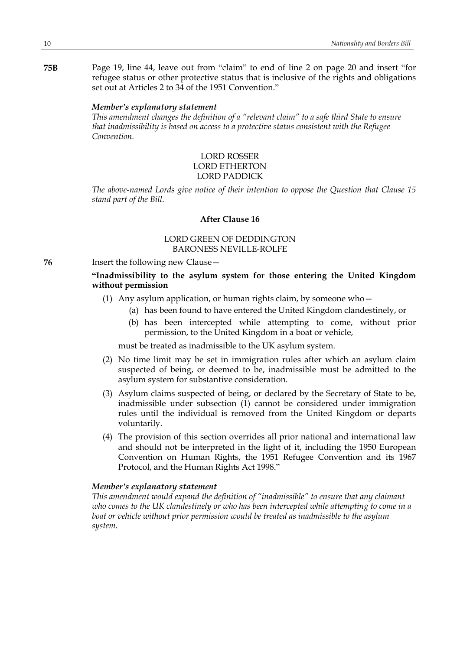**75B** Page 19, line 44, leave out from "claim" to end of line 2 on page 20 and insert "for refugee status or other protective status that is inclusive of the rights and obligations set out at Articles 2 to 34 of the 1951 Convention."

### *Member's explanatory statement*

*This amendment changes the definition of a "relevant claim" to a safe third State to ensure that inadmissibility is based on access to a protective status consistent with the Refugee Convention.*

# LORD ROSSER LORD ETHERTON LORD PADDICK

*The above-named Lords give notice of their intention to oppose the Question that Clause 15 stand part of the Bill.*

# **After Clause 16**

# LORD GREEN OF DEDDINGTON BARONESS NEVILLE-ROLFE

**76** Insert the following new Clause—

# **"Inadmissibility to the asylum system for those entering the United Kingdom without permission**

- (1) Any asylum application, or human rights claim, by someone who—
	- (a) has been found to have entered the United Kingdom clandestinely, or
	- (b) has been intercepted while attempting to come, without prior permission, to the United Kingdom in a boat or vehicle,

must be treated as inadmissible to the UK asylum system.

- (2) No time limit may be set in immigration rules after which an asylum claim suspected of being, or deemed to be, inadmissible must be admitted to the asylum system for substantive consideration.
- (3) Asylum claims suspected of being, or declared by the Secretary of State to be, inadmissible under subsection (1) cannot be considered under immigration rules until the individual is removed from the United Kingdom or departs voluntarily.
- (4) The provision of this section overrides all prior national and international law and should not be interpreted in the light of it, including the 1950 European Convention on Human Rights, the 1951 Refugee Convention and its 1967 Protocol, and the Human Rights Act 1998."

### *Member's explanatory statement*

*This amendment would expand the definition of "inadmissible" to ensure that any claimant who comes to the UK clandestinely or who has been intercepted while attempting to come in a boat or vehicle without prior permission would be treated as inadmissible to the asylum system.*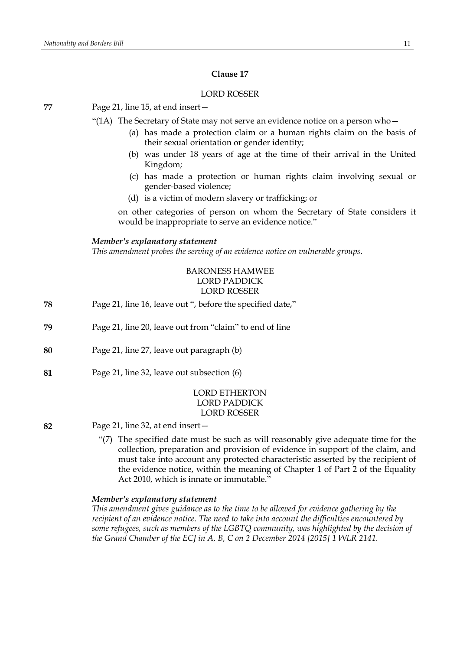### LORD ROSSER

**77** Page 21, line 15, at end insert—

"(1A) The Secretary of State may not serve an evidence notice on a person who $-$ 

- (a) has made a protection claim or a human rights claim on the basis of their sexual orientation or gender identity;
- (b) was under 18 years of age at the time of their arrival in the United Kingdom;
- (c) has made a protection or human rights claim involving sexual or gender-based violence;
- (d) is a victim of modern slavery or trafficking; or

on other categories of person on whom the Secretary of State considers it would be inappropriate to serve an evidence notice."

### *Member's explanatory statement*

*This amendment probes the serving of an evidence notice on vulnerable groups.*

# BARONESS HAMWEE LORD PADDICK LORD ROSSER

- **78** Page 21, line 16, leave out ", before the specified date,"
- **79** Page 21, line 20, leave out from "claim" to end of line
- **80** Page 21, line 27, leave out paragraph (b)
- **81** Page 21, line 32, leave out subsection (6)

# LORD ETHERTON LORD PADDICK LORD ROSSER

- **82** Page 21, line 32, at end insert—
	- "(7) The specified date must be such as will reasonably give adequate time for the collection, preparation and provision of evidence in support of the claim, and must take into account any protected characteristic asserted by the recipient of the evidence notice, within the meaning of Chapter 1 of Part 2 of the Equality Act 2010, which is innate or immutable."

# *Member's explanatory statement*

*This amendment gives guidance as to the time to be allowed for evidence gathering by the recipient of an evidence notice. The need to take into account the difficulties encountered by some refugees, such as members of the LGBTQ community, was highlighted by the decision of the Grand Chamber of the ECJ in A, B, C on 2 December 2014 [2015] 1 WLR 2141.*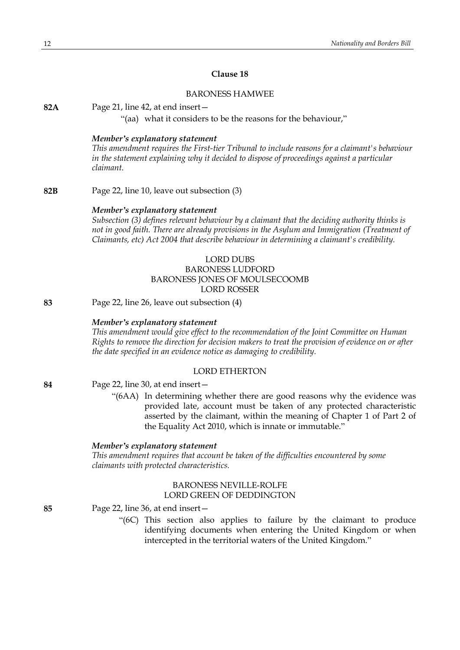### BARONESS HAMWEE

**82A** Page 21, line 42, at end insert—

"(aa) what it considers to be the reasons for the behaviour,"

#### *Member's explanatory statement*

*This amendment requires the First-tier Tribunal to include reasons for a claimant's behaviour in the statement explaining why it decided to dispose of proceedings against a particular claimant.*

**82B** Page 22, line 10, leave out subsection (3)

#### *Member's explanatory statement*

*Subsection (3) defines relevant behaviour by a claimant that the deciding authority thinks is not in good faith. There are already provisions in the Asylum and Immigration (Treatment of Claimants, etc) Act 2004 that describe behaviour in determining a claimant's credibility.*

# LORD DUBS BARONESS LUDFORD BARONESS JONES OF MOULSECOOMB LORD ROSSER

**83** Page 22, line 26, leave out subsection (4)

#### *Member's explanatory statement*

*This amendment would give effect to the recommendation of the Joint Committee on Human Rights to remove the direction for decision makers to treat the provision of evidence on or after the date specified in an evidence notice as damaging to credibility.*

# LORD ETHERTON

**84** Page 22, line 30, at end insert—

"(6AA) In determining whether there are good reasons why the evidence was provided late, account must be taken of any protected characteristic asserted by the claimant, within the meaning of Chapter 1 of Part 2 of the Equality Act 2010, which is innate or immutable."

#### *Member's explanatory statement*

*This amendment requires that account be taken of the difficulties encountered by some claimants with protected characteristics.*

# BARONESS NEVILLE-ROLFE LORD GREEN OF DEDDINGTON

**85** Page 22, line 36, at end insert—

"(6C) This section also applies to failure by the claimant to produce identifying documents when entering the United Kingdom or when intercepted in the territorial waters of the United Kingdom."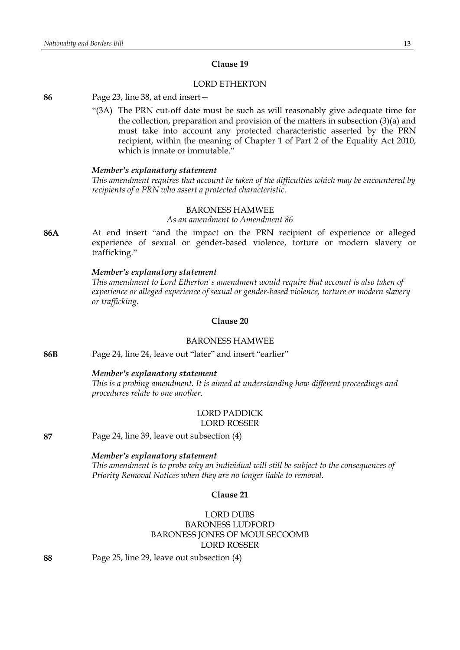# LORD ETHERTON

**86** Page 23, line 38, at end insert—

"(3A) The PRN cut-off date must be such as will reasonably give adequate time for the collection, preparation and provision of the matters in subsection (3)(a) and must take into account any protected characteristic asserted by the PRN recipient, within the meaning of Chapter 1 of Part 2 of the Equality Act 2010, which is innate or immutable."

#### *Member's explanatory statement*

*This amendment requires that account be taken of the difficulties which may be encountered by recipients of a PRN who assert a protected characteristic.*

# BARONESS HAMWEE

*As an amendment to Amendment 86*

**86A** At end insert "and the impact on the PRN recipient of experience or alleged experience of sexual or gender-based violence, torture or modern slavery or trafficking."

#### *Member's explanatory statement*

*This amendment to Lord Etherton's amendment would require that account is also taken of experience or alleged experience of sexual or gender-based violence, torture or modern slavery or trafficking.*

# **Clause 20**

# BARONESS HAMWEE

**86B** Page 24, line 24, leave out "later" and insert "earlier"

#### *Member's explanatory statement*

*This is a probing amendment. It is aimed at understanding how different proceedings and procedures relate to one another.*

# LORD PADDICK LORD ROSSER

**87** Page 24, line 39, leave out subsection (4)

# *Member's explanatory statement*

*This amendment is to probe why an individual will still be subject to the consequences of Priority Removal Notices when they are no longer liable to removal.*

# **Clause 21**

# LORD DUBS BARONESS LUDFORD BARONESS JONES OF MOULSECOOMB LORD ROSSER

**88** Page 25, line 29, leave out subsection (4)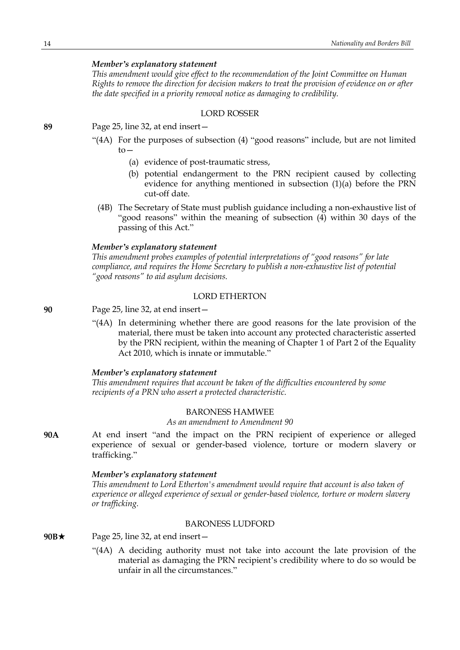# *Member's explanatory statement*

*This amendment would give effect to the recommendation of the Joint Committee on Human Rights to remove the direction for decision makers to treat the provision of evidence on or after the date specified in a priority removal notice as damaging to credibility.*

# LORD ROSSER

**89** Page 25, line 32, at end insert—

- "(4A) For the purposes of subsection (4) "good reasons" include, but are not limited  $to-$ 
	- (a) evidence of post-traumatic stress,
	- (b) potential endangerment to the PRN recipient caused by collecting evidence for anything mentioned in subsection (1)(a) before the PRN cut-off date.
	- (4B) The Secretary of State must publish guidance including a non-exhaustive list of "good reasons" within the meaning of subsection (4) within 30 days of the passing of this Act."

### *Member's explanatory statement*

*This amendment probes examples of potential interpretations of "good reasons" for late compliance, and requires the Home Secretary to publish a non-exhaustive list of potential "good reasons" to aid asylum decisions.*

### LORD ETHERTON

- **90** Page 25, line 32, at end insert—
	- "(4A) In determining whether there are good reasons for the late provision of the material, there must be taken into account any protected characteristic asserted by the PRN recipient, within the meaning of Chapter 1 of Part 2 of the Equality Act 2010, which is innate or immutable."

#### *Member's explanatory statement*

*This amendment requires that account be taken of the difficulties encountered by some recipients of a PRN who assert a protected characteristic.*

### BARONESS HAMWEE

*As an amendment to Amendment 90*

**90A** At end insert "and the impact on the PRN recipient of experience or alleged experience of sexual or gender-based violence, torture or modern slavery or trafficking."

#### *Member's explanatory statement*

*This amendment to Lord Etherton's amendment would require that account is also taken of experience or alleged experience of sexual or gender-based violence, torture or modern slavery or trafficking.*

#### BARONESS LUDFORD

- 90B $\star$  Page 25, line 32, at end insert-
	- "(4A) A deciding authority must not take into account the late provision of the material as damaging the PRN recipient's credibility where to do so would be unfair in all the circumstances."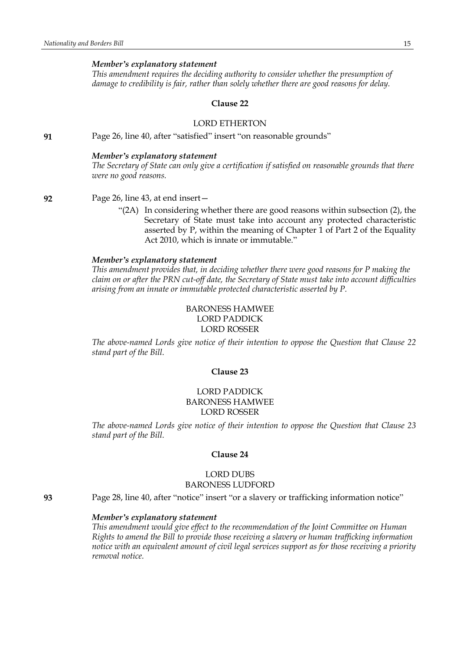#### *Member's explanatory statement*

*This amendment requires the deciding authority to consider whether the presumption of damage to credibility is fair, rather than solely whether there are good reasons for delay.*

#### **Clause 22**

# LORD ETHERTON

**91** Page 26, line 40, after "satisfied" insert "on reasonable grounds"

#### *Member's explanatory statement*

*The Secretary of State can only give a certification if satisfied on reasonable grounds that there were no good reasons.*

**92** Page 26, line 43, at end insert—

"(2A) In considering whether there are good reasons within subsection (2), the Secretary of State must take into account any protected characteristic asserted by P, within the meaning of Chapter 1 of Part 2 of the Equality Act 2010, which is innate or immutable."

#### *Member's explanatory statement*

*This amendment provides that, in deciding whether there were good reasons for P making the claim on or after the PRN cut-off date, the Secretary of State must take into account difficulties arising from an innate or immutable protected characteristic asserted by P.*

#### BARONESS HAMWEE LORD PADDICK

#### LORD ROSSER

*The above-named Lords give notice of their intention to oppose the Question that Clause 22 stand part of the Bill.*

#### **Clause 23**

# LORD PADDICK BARONESS HAMWEE LORD ROSSER

*The above-named Lords give notice of their intention to oppose the Question that Clause 23 stand part of the Bill.*

#### **Clause 24**

### LORD DUBS BARONESS LUDFORD

**93** Page 28, line 40, after "notice" insert "or a slavery or trafficking information notice"

#### *Member's explanatory statement*

*This amendment would give effect to the recommendation of the Joint Committee on Human Rights to amend the Bill to provide those receiving a slavery or human trafficking information notice with an equivalent amount of civil legal services support as for those receiving a priority removal notice.*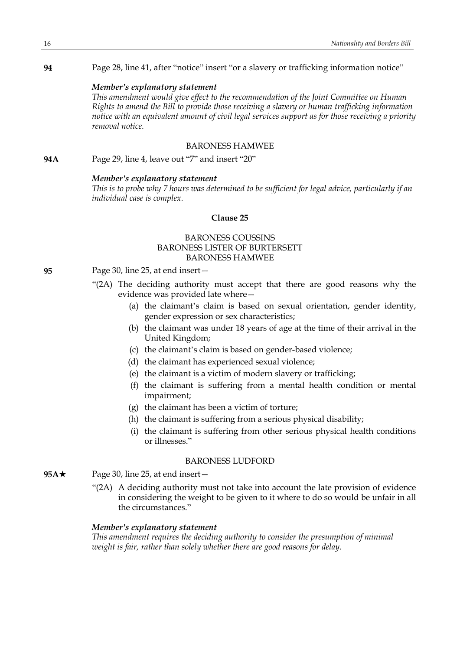### **94** Page 28, line 41, after "notice" insert "or a slavery or trafficking information notice"

### *Member's explanatory statement*

*This amendment would give effect to the recommendation of the Joint Committee on Human Rights to amend the Bill to provide those receiving a slavery or human trafficking information notice with an equivalent amount of civil legal services support as for those receiving a priority removal notice.*

# BARONESS HAMWEE

**94A** Page 29, line 4, leave out "7" and insert "20"

### *Member's explanatory statement*

*This is to probe why 7 hours was determined to be sufficient for legal advice, particularly if an individual case is complex.*

# **Clause 25**

# BARONESS COUSSINS BARONESS LISTER OF BURTERSETT BARONESS HAMWEE

# **95** Page 30, line 25, at end insert—

- "(2A) The deciding authority must accept that there are good reasons why the evidence was provided late where—
	- (a) the claimant's claim is based on sexual orientation, gender identity, gender expression or sex characteristics;
	- (b) the claimant was under 18 years of age at the time of their arrival in the United Kingdom;
	- (c) the claimant's claim is based on gender-based violence;
	- (d) the claimant has experienced sexual violence;
	- (e) the claimant is a victim of modern slavery or trafficking;
	- (f) the claimant is suffering from a mental health condition or mental impairment;
	- (g) the claimant has been a victim of torture;
	- (h) the claimant is suffering from a serious physical disability;
	- (i) the claimant is suffering from other serious physical health conditions or illnesses."

# BARONESS LUDFORD

- **95A**★ Page 30, line 25, at end insert
	- "(2A) A deciding authority must not take into account the late provision of evidence in considering the weight to be given to it where to do so would be unfair in all the circumstances."

# *Member's explanatory statement*

*This amendment requires the deciding authority to consider the presumption of minimal weight is fair, rather than solely whether there are good reasons for delay.*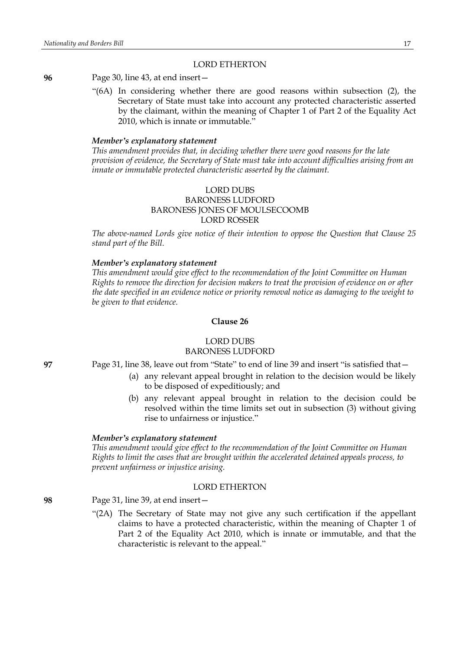# LORD ETHERTON

**96** Page 30, line 43, at end insert—

"(6A) In considering whether there are good reasons within subsection (2), the Secretary of State must take into account any protected characteristic asserted by the claimant, within the meaning of Chapter 1 of Part 2 of the Equality Act 2010, which is innate or immutable."

#### *Member's explanatory statement*

*This amendment provides that, in deciding whether there were good reasons for the late provision of evidence, the Secretary of State must take into account difficulties arising from an innate or immutable protected characteristic asserted by the claimant.*

# LORD DUBS BARONESS LUDFORD BARONESS JONES OF MOULSECOOMB LORD ROSSER

*The above-named Lords give notice of their intention to oppose the Question that Clause 25 stand part of the Bill.*

# *Member's explanatory statement*

*This amendment would give effect to the recommendation of the Joint Committee on Human Rights to remove the direction for decision makers to treat the provision of evidence on or after the date specified in an evidence notice or priority removal notice as damaging to the weight to be given to that evidence.*

### **Clause 26**

# LORD DUBS BARONESS LUDFORD

**97** Page 31, line 38, leave out from "State" to end of line 39 and insert "is satisfied that—

- (a) any relevant appeal brought in relation to the decision would be likely to be disposed of expeditiously; and
- (b) any relevant appeal brought in relation to the decision could be resolved within the time limits set out in subsection (3) without giving rise to unfairness or injustice."

#### *Member's explanatory statement*

*This amendment would give effect to the recommendation of the Joint Committee on Human Rights to limit the cases that are brought within the accelerated detained appeals process, to prevent unfairness or injustice arising.*

# LORD ETHERTON

**98** Page 31, line 39, at end insert—

"(2A) The Secretary of State may not give any such certification if the appellant claims to have a protected characteristic, within the meaning of Chapter 1 of Part 2 of the Equality Act 2010, which is innate or immutable, and that the characteristic is relevant to the appeal."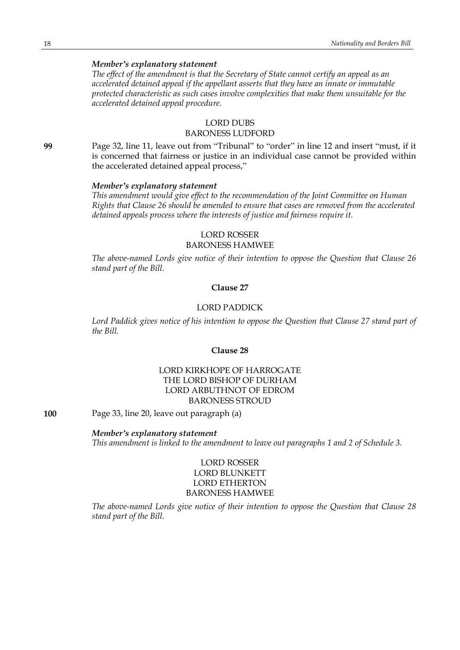# *Member's explanatory statement*

*The effect of the amendment is that the Secretary of State cannot certify an appeal as an accelerated detained appeal if the appellant asserts that they have an innate or immutable protected characteristic as such cases involve complexities that make them unsuitable for the accelerated detained appeal procedure.*

# LORD DUBS

# BARONESS LUDFORD

**99** Page 32, line 11, leave out from "Tribunal" to "order" in line 12 and insert "must, if it is concerned that fairness or justice in an individual case cannot be provided within the accelerated detained appeal process,"

# *Member's explanatory statement*

*This amendment would give effect to the recommendation of the Joint Committee on Human Rights that Clause 26 should be amended to ensure that cases are removed from the accelerated detained appeals process where the interests of justice and fairness require it.*

# LORD ROSSER BARONESS HAMWEE

*The above-named Lords give notice of their intention to oppose the Question that Clause 26 stand part of the Bill.*

#### **Clause 27**

# LORD PADDICK

*Lord Paddick gives notice of his intention to oppose the Question that Clause 27 stand part of the Bill.*

# **Clause 28**

# LORD KIRKHOPE OF HARROGATE THE LORD BISHOP OF DURHAM LORD ARBUTHNOT OF EDROM BARONESS STROUD

### **100** Page 33, line 20, leave out paragraph (a)

### *Member's explanatory statement*

*This amendment is linked to the amendment to leave out paragraphs 1 and 2 of Schedule 3.*

# LORD ROSSER LORD BLUNKETT LORD ETHERTON BARONESS HAMWEE

*The above-named Lords give notice of their intention to oppose the Question that Clause 28 stand part of the Bill.*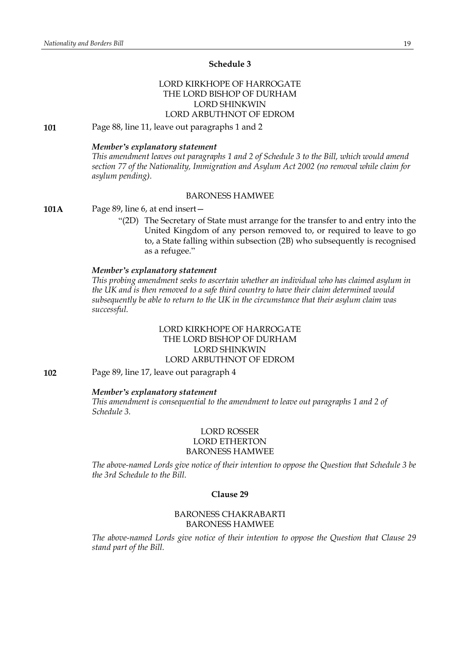### **Schedule 3**

# LORD KIRKHOPE OF HARROGATE THE LORD BISHOP OF DURHAM LORD SHINKWIN LORD ARBUTHNOT OF EDROM

**101** Page 88, line 11, leave out paragraphs 1 and 2

#### *Member's explanatory statement*

*This amendment leaves out paragraphs 1 and 2 of Schedule 3 to the Bill, which would amend section 77 of the Nationality, Immigration and Asylum Act 2002 (no removal while claim for asylum pending).*

#### BARONESS HAMWEE

**101A** Page 89, line 6, at end insert—

"(2D) The Secretary of State must arrange for the transfer to and entry into the United Kingdom of any person removed to, or required to leave to go to, a State falling within subsection (2B) who subsequently is recognised as a refugee."

### *Member's explanatory statement*

*This probing amendment seeks to ascertain whether an individual who has claimed asylum in the UK and is then removed to a safe third country to have their claim determined would subsequently be able to return to the UK in the circumstance that their asylum claim was successful.*

# LORD KIRKHOPE OF HARROGATE THE LORD BISHOP OF DURHAM LORD SHINKWIN LORD ARBUTHNOT OF EDROM

**102** Page 89, line 17, leave out paragraph 4

#### *Member's explanatory statement*

*This amendment is consequential to the amendment to leave out paragraphs 1 and 2 of Schedule 3.*

# LORD ROSSER LORD ETHERTON BARONESS HAMWEE

*The above-named Lords give notice of their intention to oppose the Question that Schedule 3 be the 3rd Schedule to the Bill.*

### **Clause 29**

# BARONESS CHAKRABARTI BARONESS HAMWEE

*The above-named Lords give notice of their intention to oppose the Question that Clause 29 stand part of the Bill.*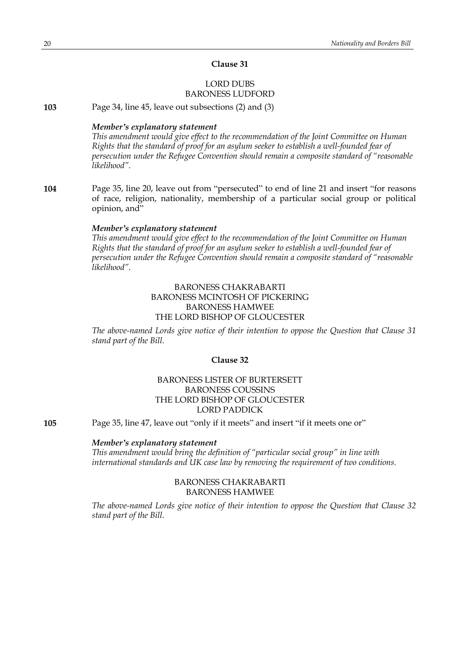# LORD DUBS BARONESS LUDFORD

**103** Page 34, line 45, leave out subsections (2) and (3)

#### *Member's explanatory statement*

*This amendment would give effect to the recommendation of the Joint Committee on Human Rights that the standard of proof for an asylum seeker to establish a well-founded fear of persecution under the Refugee Convention should remain a composite standard of "reasonable likelihood".*

**104** Page 35, line 20, leave out from "persecuted" to end of line 21 and insert "for reasons of race, religion, nationality, membership of a particular social group or political opinion, and"

#### *Member's explanatory statement*

*This amendment would give effect to the recommendation of the Joint Committee on Human Rights that the standard of proof for an asylum seeker to establish a well-founded fear of persecution under the Refugee Convention should remain a composite standard of "reasonable likelihood".*

# BARONESS CHAKRABARTI BARONESS MCINTOSH OF PICKERING BARONESS HAMWEE THE LORD BISHOP OF GLOUCESTER

*The above-named Lords give notice of their intention to oppose the Question that Clause 31 stand part of the Bill.*

# **Clause 32**

# BARONESS LISTER OF BURTERSETT BARONESS COUSSINS THE LORD BISHOP OF GLOUCESTER LORD PADDICK

**105** Page 35, line 47, leave out "only if it meets" and insert "if it meets one or"

# *Member's explanatory statement*

*This amendment would bring the definition of "particular social group" in line with international standards and UK case law by removing the requirement of two conditions.*

# BARONESS CHAKRABARTI BARONESS HAMWEE

*The above-named Lords give notice of their intention to oppose the Question that Clause 32 stand part of the Bill.*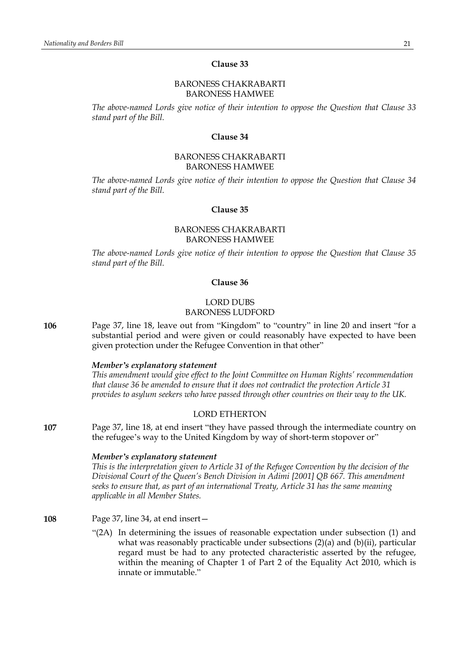### BARONESS CHAKRABARTI BARONESS HAMWEE

*The above-named Lords give notice of their intention to oppose the Question that Clause 33 stand part of the Bill.*

#### **Clause 34**

# BARONESS CHAKRABARTI BARONESS HAMWEE

*The above-named Lords give notice of their intention to oppose the Question that Clause 34 stand part of the Bill.*

### **Clause 35**

# BARONESS CHAKRABARTI BARONESS HAMWEE

*The above-named Lords give notice of their intention to oppose the Question that Clause 35 stand part of the Bill.*

### **Clause 36**

# LORD DUBS BARONESS LUDFORD

**106** Page 37, line 18, leave out from "Kingdom" to "country" in line 20 and insert "for a substantial period and were given or could reasonably have expected to have been given protection under the Refugee Convention in that other"

#### *Member's explanatory statement*

*This amendment would give effect to the Joint Committee on Human Rights' recommendation that clause 36 be amended to ensure that it does not contradict the protection Article 31 provides to asylum seekers who have passed through other countries on their way to the UK.*

#### LORD ETHERTON

**107** Page 37, line 18, at end insert "they have passed through the intermediate country on the refugee's way to the United Kingdom by way of short-term stopover or"

#### *Member's explanatory statement*

*This is the interpretation given to Article 31 of the Refugee Convention by the decision of the Divisional Court of the Queen's Bench Division in Adimi [2001] QB 667. This amendment seeks to ensure that, as part of an international Treaty, Article 31 has the same meaning applicable in all Member States.*

# **108** Page 37, line 34, at end insert—

"(2A) In determining the issues of reasonable expectation under subsection (1) and what was reasonably practicable under subsections (2)(a) and (b)(ii), particular regard must be had to any protected characteristic asserted by the refugee, within the meaning of Chapter 1 of Part 2 of the Equality Act 2010, which is innate or immutable."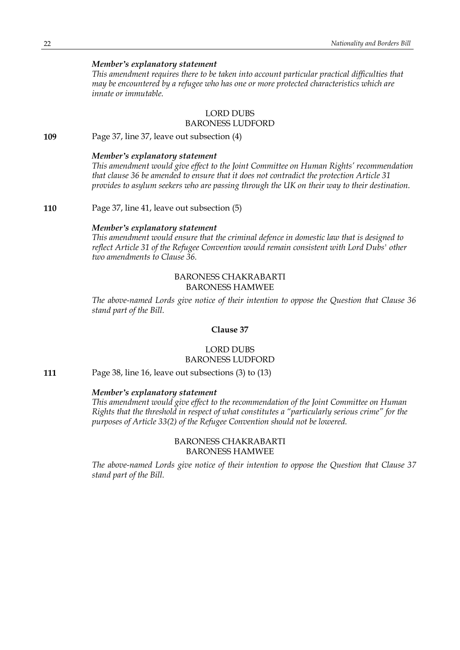# *Member's explanatory statement*

*This amendment requires there to be taken into account particular practical difficulties that may be encountered by a refugee who has one or more protected characteristics which are innate or immutable.*

# LORD DUBS BARONESS LUDFORD

**109** Page 37, line 37, leave out subsection (4)

# *Member's explanatory statement*

*This amendment would give effect to the Joint Committee on Human Rights' recommendation that clause 36 be amended to ensure that it does not contradict the protection Article 31 provides to asylum seekers who are passing through the UK on their way to their destination.*

**110** Page 37, line 41, leave out subsection (5)

#### *Member's explanatory statement*

*This amendment would ensure that the criminal defence in domestic law that is designed to reflect Article 31 of the Refugee Convention would remain consistent with Lord Dubs' other two amendments to Clause 36.*

# BARONESS CHAKRABARTI BARONESS HAMWEE

*The above-named Lords give notice of their intention to oppose the Question that Clause 36 stand part of the Bill.*

### **Clause 37**

# LORD DUBS BARONESS LUDFORD

**111** Page 38, line 16, leave out subsections (3) to (13)

# *Member's explanatory statement*

*This amendment would give effect to the recommendation of the Joint Committee on Human Rights that the threshold in respect of what constitutes a "particularly serious crime" for the purposes of Article 33(2) of the Refugee Convention should not be lowered.*

### BARONESS CHAKRABARTI BARONESS HAMWEE

*The above-named Lords give notice of their intention to oppose the Question that Clause 37 stand part of the Bill.*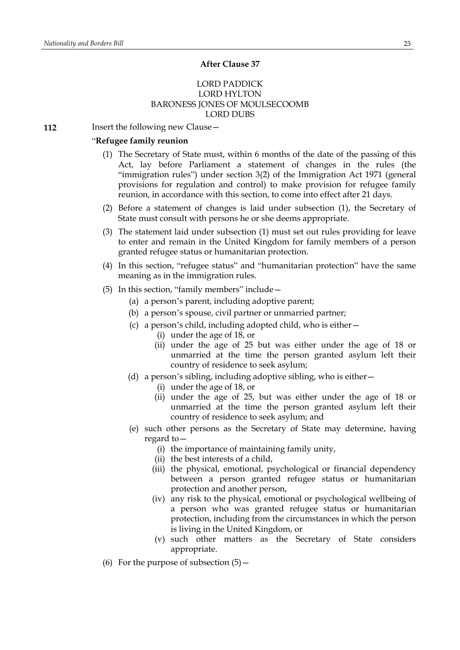#### **After Clause 37**

# LORD PADDICK LORD HYLTON BARONESS JONES OF MOULSECOOMB LORD DUBS

**112** Insert the following new Clause -

# "**Refugee family reunion**

- (1) The Secretary of State must, within 6 months of the date of the passing of this Act, lay before Parliament a statement of changes in the rules (the "immigration rules") under section 3(2) of the Immigration Act 1971 (general provisions for regulation and control) to make provision for refugee family reunion, in accordance with this section, to come into effect after 21 days.
- (2) Before a statement of changes is laid under subsection (1), the Secretary of State must consult with persons he or she deems appropriate.
- (3) The statement laid under subsection (1) must set out rules providing for leave to enter and remain in the United Kingdom for family members of a person granted refugee status or humanitarian protection.
- (4) In this section, "refugee status" and "humanitarian protection" have the same meaning as in the immigration rules.
- (5) In this section, "family members" include—
	- (a) a person's parent, including adoptive parent;
	- (b) a person's spouse, civil partner or unmarried partner;
	- (c) a person's child, including adopted child, who is either—
		- (i) under the age of 18, or
			- (ii) under the age of 25 but was either under the age of 18 or unmarried at the time the person granted asylum left their country of residence to seek asylum;
	- (d) a person's sibling, including adoptive sibling, who is either—
		- (i) under the age of 18, or
		- (ii) under the age of 25, but was either under the age of 18 or unmarried at the time the person granted asylum left their country of residence to seek asylum; and
	- (e) such other persons as the Secretary of State may determine, having regard to—
		- (i) the importance of maintaining family unity,
		- (ii) the best interests of a child,
		- (iii) the physical, emotional, psychological or financial dependency between a person granted refugee status or humanitarian protection and another person,
		- (iv) any risk to the physical, emotional or psychological wellbeing of a person who was granted refugee status or humanitarian protection, including from the circumstances in which the person is living in the United Kingdom, or
		- (v) such other matters as the Secretary of State considers appropriate.
- (6) For the purpose of subsection  $(5)$  –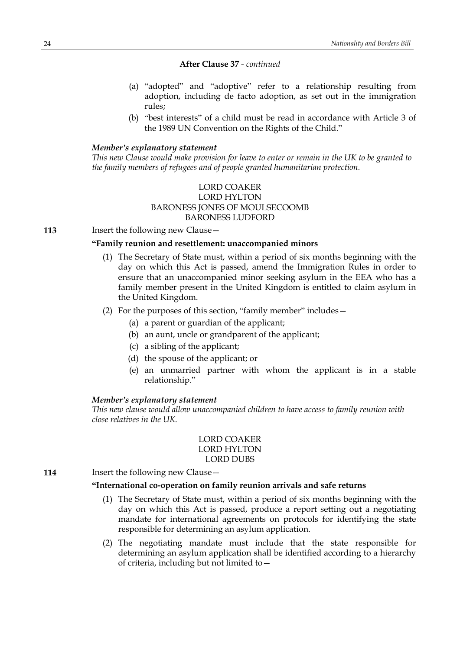- (a) "adopted" and "adoptive" refer to a relationship resulting from adoption, including de facto adoption, as set out in the immigration rules;
- (b) "best interests" of a child must be read in accordance with Article 3 of the 1989 UN Convention on the Rights of the Child."

# *Member's explanatory statement*

This new Clause would make provision for leave to enter or remain in the UK to be granted to *the family members of refugees and of people granted humanitarian protection.*

# LORD COAKER LORD HYLTON BARONESS JONES OF MOULSECOOMB BARONESS LUDFORD

**113** Insert the following new Clause -

# **"Family reunion and resettlement: unaccompanied minors**

(1) The Secretary of State must, within a period of six months beginning with the day on which this Act is passed, amend the Immigration Rules in order to ensure that an unaccompanied minor seeking asylum in the EEA who has a family member present in the United Kingdom is entitled to claim asylum in the United Kingdom.

# (2) For the purposes of this section, "family member" includes—

- (a) a parent or guardian of the applicant;
- (b) an aunt, uncle or grandparent of the applicant;
- (c) a sibling of the applicant;
- (d) the spouse of the applicant; or
- (e) an unmarried partner with whom the applicant is in a stable relationship."

### *Member's explanatory statement*

*This new clause would allow unaccompanied children to have access to family reunion with close relatives in the UK.*

# LORD COAKER LORD HYLTON LORD DUBS

**114** Insert the following new Clause –

# **"International co-operation on family reunion arrivals and safe returns**

- (1) The Secretary of State must, within a period of six months beginning with the day on which this Act is passed, produce a report setting out a negotiating mandate for international agreements on protocols for identifying the state responsible for determining an asylum application.
- (2) The negotiating mandate must include that the state responsible for determining an asylum application shall be identified according to a hierarchy of criteria, including but not limited to—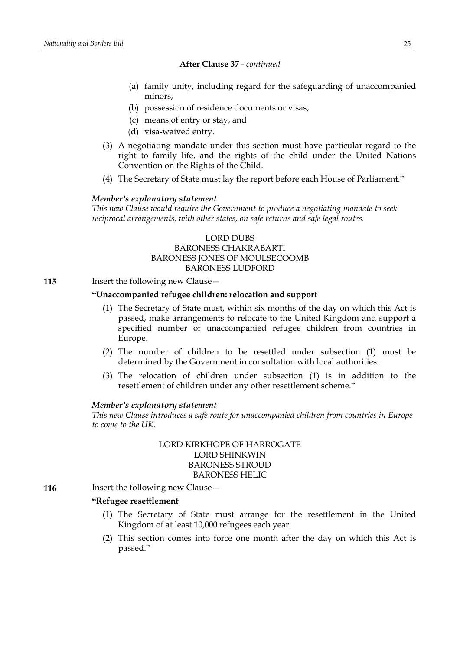- (a) family unity, including regard for the safeguarding of unaccompanied minors,
- (b) possession of residence documents or visas,
- (c) means of entry or stay, and
- (d) visa-waived entry.
- (3) A negotiating mandate under this section must have particular regard to the right to family life, and the rights of the child under the United Nations Convention on the Rights of the Child.
- (4) The Secretary of State must lay the report before each House of Parliament."

### *Member's explanatory statement*

*This new Clause would require the Government to produce a negotiating mandate to seek reciprocal arrangements, with other states, on safe returns and safe legal routes.*

# LORD DUBS BARONESS CHAKRABARTI BARONESS JONES OF MOULSECOOMB BARONESS LUDFORD

**115** Insert the following new Clause –

# **"Unaccompanied refugee children: relocation and support**

- (1) The Secretary of State must, within six months of the day on which this Act is passed, make arrangements to relocate to the United Kingdom and support a specified number of unaccompanied refugee children from countries in Europe.
- (2) The number of children to be resettled under subsection (1) must be determined by the Government in consultation with local authorities.
- (3) The relocation of children under subsection (1) is in addition to the resettlement of children under any other resettlement scheme."

#### *Member's explanatory statement*

*This new Clause introduces a safe route for unaccompanied children from countries in Europe to come to the UK.*

# LORD KIRKHOPE OF HARROGATE LORD SHINKWIN BARONESS STROUD BARONESS HELIC

**116** Insert the following new Clause -

# **"Refugee resettlement**

- (1) The Secretary of State must arrange for the resettlement in the United Kingdom of at least 10,000 refugees each year.
- (2) This section comes into force one month after the day on which this Act is passed."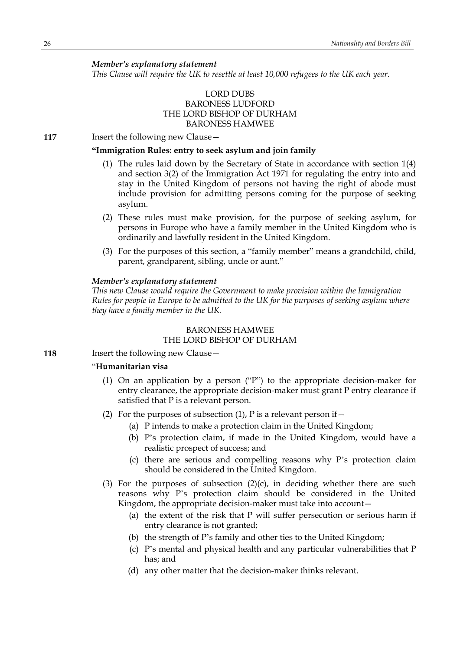*Member's explanatory statement*

*This Clause will require the UK to resettle at least 10,000 refugees to the UK each year.*

# LORD DUBS BARONESS LUDFORD THE LORD BISHOP OF DURHAM BARONESS HAMWEE

**117** Insert the following new Clause -

# **"Immigration Rules: entry to seek asylum and join family**

- (1) The rules laid down by the Secretary of State in accordance with section 1(4) and section 3(2) of the Immigration Act 1971 for regulating the entry into and stay in the United Kingdom of persons not having the right of abode must include provision for admitting persons coming for the purpose of seeking asylum.
- (2) These rules must make provision, for the purpose of seeking asylum, for persons in Europe who have a family member in the United Kingdom who is ordinarily and lawfully resident in the United Kingdom.
- (3) For the purposes of this section, a "family member" means a grandchild, child, parent, grandparent, sibling, uncle or aunt."

## *Member's explanatory statement*

*This new Clause would require the Government to make provision within the Immigration Rules for people in Europe to be admitted to the UK for the purposes of seeking asylum where they have a family member in the UK.*

# BARONESS HAMWEE THE LORD BISHOP OF DURHAM

**118** Insert the following new Clause -

# "**Humanitarian visa**

- (1) On an application by a person ("P") to the appropriate decision-maker for entry clearance, the appropriate decision-maker must grant P entry clearance if satisfied that P is a relevant person.
- (2) For the purposes of subsection  $(1)$ , P is a relevant person if  $-$ 
	- (a) P intends to make a protection claim in the United Kingdom;
	- (b) P's protection claim, if made in the United Kingdom, would have a realistic prospect of success; and
	- (c) there are serious and compelling reasons why P's protection claim should be considered in the United Kingdom.
- (3) For the purposes of subsection  $(2)(c)$ , in deciding whether there are such reasons why P's protection claim should be considered in the United Kingdom, the appropriate decision-maker must take into account—
	- (a) the extent of the risk that P will suffer persecution or serious harm if entry clearance is not granted;
	- (b) the strength of P's family and other ties to the United Kingdom;
	- (c) P's mental and physical health and any particular vulnerabilities that P has; and
	- (d) any other matter that the decision-maker thinks relevant.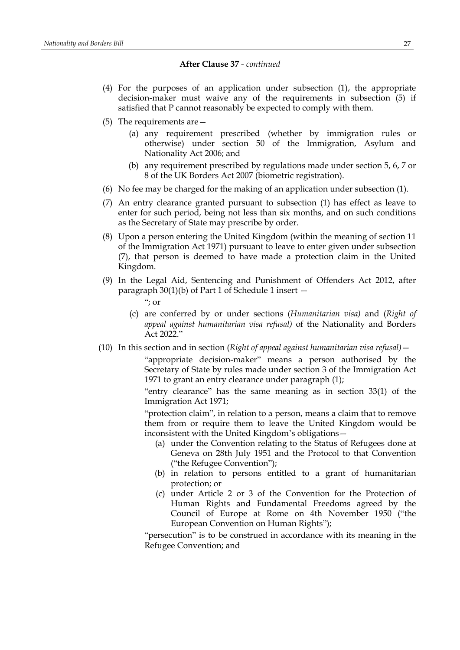- (4) For the purposes of an application under subsection (1), the appropriate decision-maker must waive any of the requirements in subsection (5) if satisfied that P cannot reasonably be expected to comply with them.
- (5) The requirements are—
	- (a) any requirement prescribed (whether by immigration rules or otherwise) under section 50 of the Immigration, Asylum and Nationality Act 2006; and
	- (b) any requirement prescribed by regulations made under section 5, 6, 7 or 8 of the UK Borders Act 2007 (biometric registration).
- (6) No fee may be charged for the making of an application under subsection (1).
- (7) An entry clearance granted pursuant to subsection (1) has effect as leave to enter for such period, being not less than six months, and on such conditions as the Secretary of State may prescribe by order.
- (8) Upon a person entering the United Kingdom (within the meaning of section 11 of the Immigration Act 1971) pursuant to leave to enter given under subsection (7), that person is deemed to have made a protection claim in the United Kingdom.
- (9) In the Legal Aid, Sentencing and Punishment of Offenders Act 2012, after paragraph 30(1)(b) of Part 1 of Schedule 1 insert —

"; or

- (c) are conferred by or under sections (*Humanitarian visa)* and (*Right of appeal against humanitarian visa refusal)* of the Nationality and Borders Act 2022."
- (10) In this section and in section (*Right of appeal against humanitarian visa refusal)*—

"appropriate decision-maker" means a person authorised by the Secretary of State by rules made under section 3 of the Immigration Act 1971 to grant an entry clearance under paragraph (1);

"entry clearance" has the same meaning as in section 33(1) of the Immigration Act 1971;

"protection claim", in relation to a person, means a claim that to remove them from or require them to leave the United Kingdom would be inconsistent with the United Kingdom's obligations—

- (a) under the Convention relating to the Status of Refugees done at Geneva on 28th July 1951 and the Protocol to that Convention ("the Refugee Convention");
- (b) in relation to persons entitled to a grant of humanitarian protection; or
- (c) under Article 2 or 3 of the Convention for the Protection of Human Rights and Fundamental Freedoms agreed by the Council of Europe at Rome on 4th November 1950 ("the European Convention on Human Rights");

"persecution" is to be construed in accordance with its meaning in the Refugee Convention; and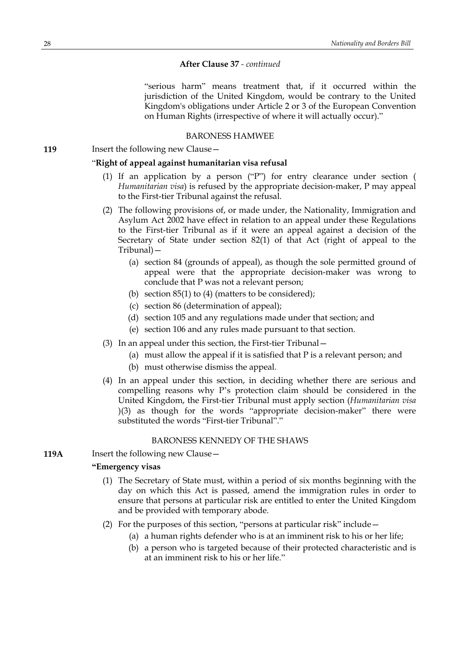"serious harm" means treatment that, if it occurred within the jurisdiction of the United Kingdom, would be contrary to the United Kingdom's obligations under Article 2 or 3 of the European Convention on Human Rights (irrespective of where it will actually occur)."

# BARONESS HAMWEE

**119** Insert the following new Clause -

# "**Right of appeal against humanitarian visa refusal**

- (1) If an application by a person ("P") for entry clearance under section ( *Humanitarian visa*) is refused by the appropriate decision-maker, P may appeal to the First-tier Tribunal against the refusal.
- (2) The following provisions of, or made under, the Nationality, Immigration and Asylum Act 2002 have effect in relation to an appeal under these Regulations to the First-tier Tribunal as if it were an appeal against a decision of the Secretary of State under section 82(1) of that Act (right of appeal to the Tribunal)—
	- (a) section 84 (grounds of appeal), as though the sole permitted ground of appeal were that the appropriate decision-maker was wrong to conclude that P was not a relevant person;
	- (b) section  $85(1)$  to  $(4)$  (matters to be considered);
	- (c) section 86 (determination of appeal);
	- (d) section 105 and any regulations made under that section; and
	- (e) section 106 and any rules made pursuant to that section.
- (3) In an appeal under this section, the First-tier Tribunal—
	- (a) must allow the appeal if it is satisfied that P is a relevant person; and
	- (b) must otherwise dismiss the appeal.
- (4) In an appeal under this section, in deciding whether there are serious and compelling reasons why P's protection claim should be considered in the United Kingdom, the First-tier Tribunal must apply section (*Humanitarian visa* )(3) as though for the words "appropriate decision-maker" there were substituted the words "First-tier Tribunal"."

### BARONESS KENNEDY OF THE SHAWS

**119A** Insert the following new Clause —

# **"Emergency visas**

- (1) The Secretary of State must, within a period of six months beginning with the day on which this Act is passed, amend the immigration rules in order to ensure that persons at particular risk are entitled to enter the United Kingdom and be provided with temporary abode.
- (2) For the purposes of this section, "persons at particular risk" include—
	- (a) a human rights defender who is at an imminent risk to his or her life;
	- (b) a person who is targeted because of their protected characteristic and is at an imminent risk to his or her life."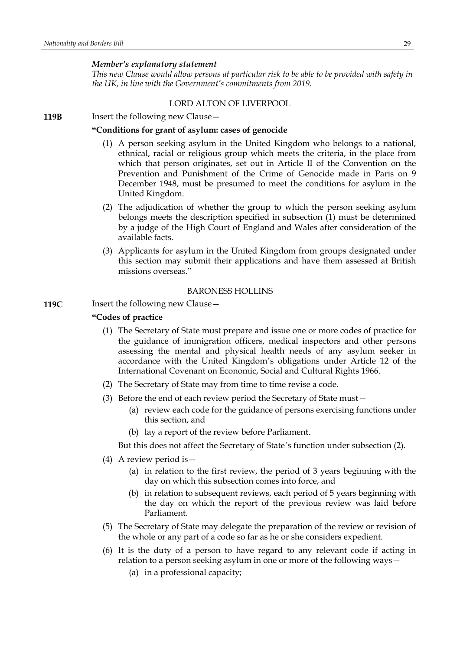### *Member's explanatory statement*

*This new Clause would allow persons at particular risk to be able to be provided with safety in the UK, in line with the Government's commitments from 2019.*

#### LORD ALTON OF LIVERPOOL

**119B** Insert the following new Clause -

# **"Conditions for grant of asylum: cases of genocide**

- (1) A person seeking asylum in the United Kingdom who belongs to a national, ethnical, racial or religious group which meets the criteria, in the place from which that person originates, set out in Article II of the Convention on the Prevention and Punishment of the Crime of Genocide made in Paris on 9 December 1948, must be presumed to meet the conditions for asylum in the United Kingdom.
- (2) The adjudication of whether the group to which the person seeking asylum belongs meets the description specified in subsection (1) must be determined by a judge of the High Court of England and Wales after consideration of the available facts.
- (3) Applicants for asylum in the United Kingdom from groups designated under this section may submit their applications and have them assessed at British missions overseas."

# BARONESS HOLLINS

### **119C** Insert the following new Clause -

### **"Codes of practice**

- (1) The Secretary of State must prepare and issue one or more codes of practice for the guidance of immigration officers, medical inspectors and other persons assessing the mental and physical health needs of any asylum seeker in accordance with the United Kingdom's obligations under Article 12 of the International Covenant on Economic, Social and Cultural Rights 1966.
- (2) The Secretary of State may from time to time revise a code.
- (3) Before the end of each review period the Secretary of State must—
	- (a) review each code for the guidance of persons exercising functions under this section, and
	- (b) lay a report of the review before Parliament.
	- But this does not affect the Secretary of State's function under subsection (2).
- (4) A review period is—
	- (a) in relation to the first review, the period of 3 years beginning with the day on which this subsection comes into force, and
	- (b) in relation to subsequent reviews, each period of 5 years beginning with the day on which the report of the previous review was laid before Parliament.
- (5) The Secretary of State may delegate the preparation of the review or revision of the whole or any part of a code so far as he or she considers expedient.
- (6) It is the duty of a person to have regard to any relevant code if acting in relation to a person seeking asylum in one or more of the following ways—
	- (a) in a professional capacity;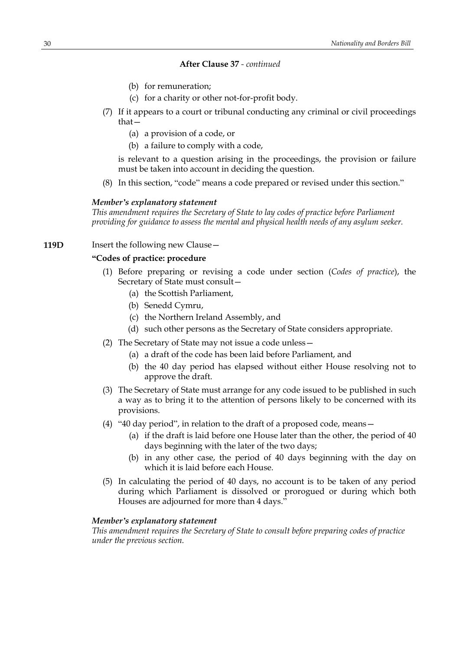- (b) for remuneration;
- (c) for a charity or other not-for-profit body.
- (7) If it appears to a court or tribunal conducting any criminal or civil proceedings that—
	- (a) a provision of a code, or
	- (b) a failure to comply with a code,

is relevant to a question arising in the proceedings, the provision or failure must be taken into account in deciding the question.

(8) In this section, "code" means a code prepared or revised under this section."

#### *Member's explanatory statement*

*This amendment requires the Secretary of State to lay codes of practice before Parliament providing for guidance to assess the mental and physical health needs of any asylum seeker.*

**119D** Insert the following new Clause -

# **"Codes of practice: procedure**

- (1) Before preparing or revising a code under section (*Codes of practice*), the Secretary of State must consult—
	- (a) the Scottish Parliament,
	- (b) Senedd Cymru,
	- (c) the Northern Ireland Assembly, and
	- (d) such other persons as the Secretary of State considers appropriate.
- (2) The Secretary of State may not issue a code unless—
	- (a) a draft of the code has been laid before Parliament, and
	- (b) the 40 day period has elapsed without either House resolving not to approve the draft.
- (3) The Secretary of State must arrange for any code issued to be published in such a way as to bring it to the attention of persons likely to be concerned with its provisions.
- (4) "40 day period", in relation to the draft of a proposed code, means—
	- (a) if the draft is laid before one House later than the other, the period of 40 days beginning with the later of the two days;
	- (b) in any other case, the period of 40 days beginning with the day on which it is laid before each House.
- (5) In calculating the period of 40 days, no account is to be taken of any period during which Parliament is dissolved or prorogued or during which both Houses are adjourned for more than 4 days."

#### *Member's explanatory statement*

*This amendment requires the Secretary of State to consult before preparing codes of practice under the previous section.*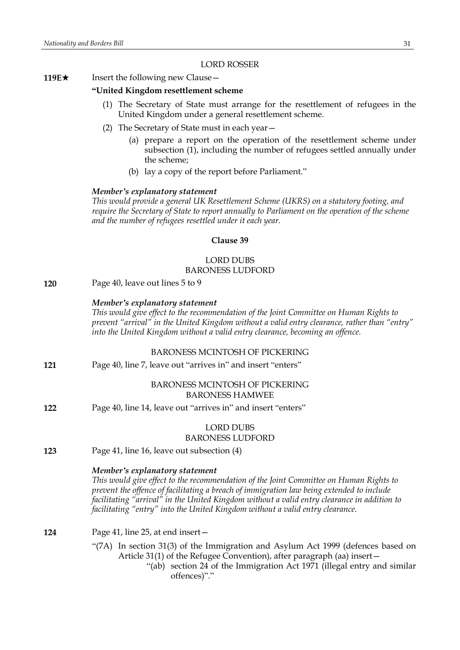#### LORD ROSSER

#### **119E**★ Insert the following new Clause —

# **"United Kingdom resettlement scheme**

- (1) The Secretary of State must arrange for the resettlement of refugees in the United Kingdom under a general resettlement scheme.
- (2) The Secretary of State must in each year—
	- (a) prepare a report on the operation of the resettlement scheme under subsection (1), including the number of refugees settled annually under the scheme;
	- (b) lay a copy of the report before Parliament."

### *Member's explanatory statement*

*This would provide a general UK Resettlement Scheme (UKRS) on a statutory footing, and require the Secretary of State to report annually to Parliament on the operation of the scheme and the number of refugees resettled under it each year.*

#### **Clause 39**

# LORD DUBS BARONESS LUDFORD

**120** Page 40, leave out lines 5 to 9

### *Member's explanatory statement*

*This would give effect to the recommendation of the Joint Committee on Human Rights to prevent "arrival" in the United Kingdom without a valid entry clearance, rather than "entry" into the United Kingdom without a valid entry clearance, becoming an offence.*

### BARONESS MCINTOSH OF PICKERING

**121** Page 40, line 7, leave out "arrives in" and insert "enters"

# BARONESS MCINTOSH OF PICKERING BARONESS HAMWEE

**122** Page 40, line 14, leave out "arrives in" and insert "enters"

# LORD DUBS BARONESS LUDFORD

**123** Page 41, line 16, leave out subsection (4)

### *Member's explanatory statement*

*This would give effect to the recommendation of the Joint Committee on Human Rights to prevent the offence of facilitating a breach of immigration law being extended to include facilitating "arrival" in the United Kingdom without a valid entry clearance in addition to facilitating "entry" into the United Kingdom without a valid entry clearance.*

#### **124** Page 41, line 25, at end insert—

- "(7A) In section 31(3) of the Immigration and Asylum Act 1999 (defences based on Article 31(1) of the Refugee Convention), after paragraph (aa) insert—
	- "(ab) section 24 of the Immigration Act 1971 (illegal entry and similar offences)"."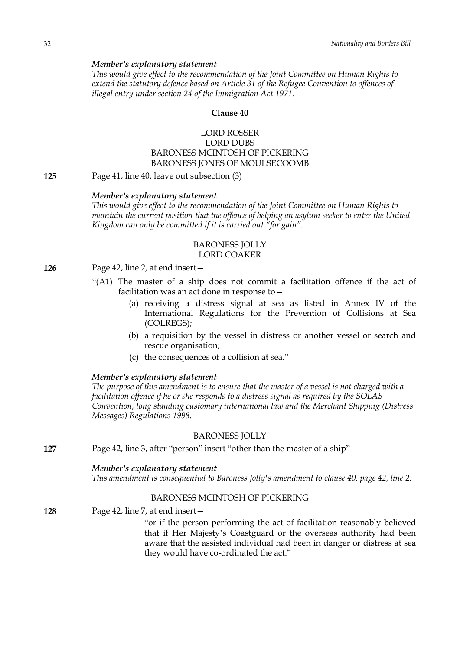# *Member's explanatory statement*

*This would give effect to the recommendation of the Joint Committee on Human Rights to extend the statutory defence based on Article 31 of the Refugee Convention to offences of illegal entry under section 24 of the Immigration Act 1971.*

### **Clause 40**

# LORD ROSSER LORD DUBS BARONESS MCINTOSH OF PICKERING BARONESS JONES OF MOULSECOOMB

**125** Page 41, line 40, leave out subsection (3)

### *Member's explanatory statement*

*This would give effect to the recommendation of the Joint Committee on Human Rights to maintain the current position that the offence of helping an asylum seeker to enter the United Kingdom can only be committed if it is carried out "for gain".*

#### BARONESS JOLLY LORD COAKER

# **126** Page 42, line 2, at end insert—

- "(A1) The master of a ship does not commit a facilitation offence if the act of facilitation was an act done in response to—
	- (a) receiving a distress signal at sea as listed in Annex IV of the International Regulations for the Prevention of Collisions at Sea (COLREGS);
	- (b) a requisition by the vessel in distress or another vessel or search and rescue organisation;
	- (c) the consequences of a collision at sea."

### *Member's explanatory statement*

The purpose of this amendment is to ensure that the master of a vessel is not charged with a *facilitation offence if he or she responds to a distress signal as required by the SOLAS Convention, long standing customary international law and the Merchant Shipping (Distress Messages) Regulations 1998.*

# BARONESS JOLLY

**127** Page 42, line 3, after "person" insert "other than the master of a ship"

# *Member's explanatory statement*

*This amendment is consequential to Baroness Jolly's amendment to clause 40, page 42, line 2.*

#### BARONESS MCINTOSH OF PICKERING

**128** Page 42, line 7, at end insert—

"or if the person performing the act of facilitation reasonably believed that if Her Majesty's Coastguard or the overseas authority had been aware that the assisted individual had been in danger or distress at sea they would have co-ordinated the act."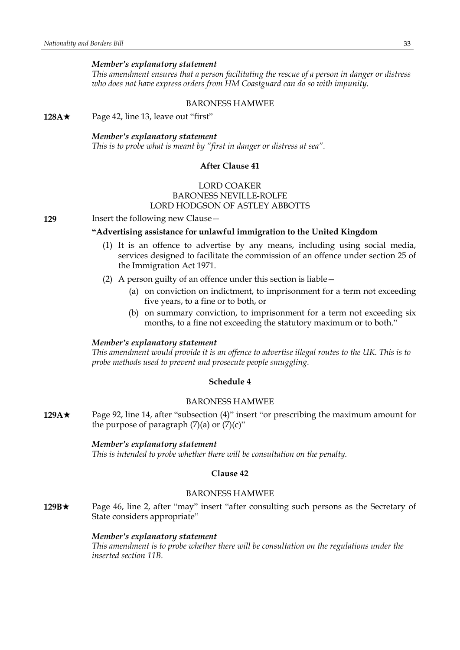### *Member's explanatory statement*

*This amendment ensures that a person facilitating the rescue of a person in danger or distress who does not have express orders from HM Coastguard can do so with impunity.*

#### BARONESS HAMWEE

**128A**★ Page 42, line 13, leave out "first"

#### *Member's explanatory statement*

*This is to probe what is meant by "first in danger or distress at sea".*

# **After Clause 41**

# LORD COAKER BARONESS NEVILLE-ROLFE LORD HODGSON OF ASTLEY ABBOTTS

**129** Insert the following new Clause –

# **"Advertising assistance for unlawful immigration to the United Kingdom**

- (1) It is an offence to advertise by any means, including using social media, services designed to facilitate the commission of an offence under section 25 of the Immigration Act 1971.
- (2) A person guilty of an offence under this section is liable—
	- (a) on conviction on indictment, to imprisonment for a term not exceeding five years, to a fine or to both, or
	- (b) on summary conviction, to imprisonment for a term not exceeding six months, to a fine not exceeding the statutory maximum or to both."

#### *Member's explanatory statement*

*This amendment would provide it is an offence to advertise illegal routes to the UK. This is to probe methods used to prevent and prosecute people smuggling.*

# **Schedule 4**

# BARONESS HAMWEE

**129A**\* Page 92, line 14, after "subsection (4)" insert "or prescribing the maximum amount for the purpose of paragraph  $(7)(a)$  or  $(7)(c)$ "

#### *Member's explanatory statement*

*This is intended to probe whether there will be consultation on the penalty.*

#### **Clause 42**

# BARONESS HAMWEE

**129B**\* Page 46, line 2, after "may" insert "after consulting such persons as the Secretary of State considers appropriate"

### *Member's explanatory statement*

*This amendment is to probe whether there will be consultation on the regulations under the inserted section 11B.*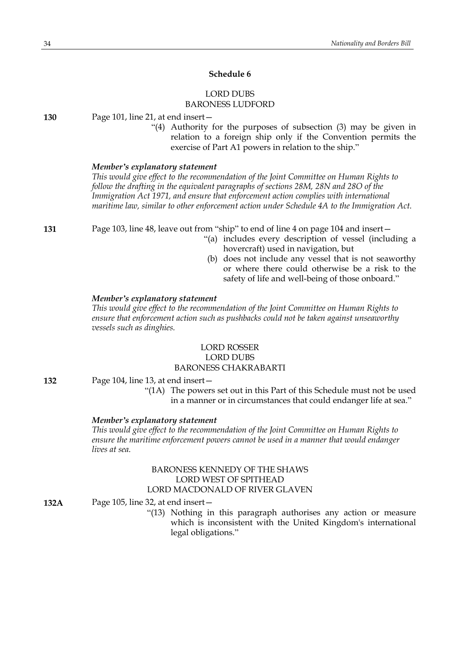# **Schedule 6**

# LORD DUBS BARONESS LUDFORD

**130** Page 101, line 21, at end insert—

"(4) Authority for the purposes of subsection (3) may be given in relation to a foreign ship only if the Convention permits the exercise of Part A1 powers in relation to the ship."

### *Member's explanatory statement*

*This would give effect to the recommendation of the Joint Committee on Human Rights to follow the drafting in the equivalent paragraphs of sections 28M, 28N and 28O of the Immigration Act 1971, and ensure that enforcement action complies with international maritime law, similar to other enforcement action under Schedule 4A to the Immigration Act.*

**131** Page 103, line 48, leave out from "ship" to end of line 4 on page 104 and insert—

- "(a) includes every description of vessel (including a hovercraft) used in navigation, but
- (b) does not include any vessel that is not seaworthy or where there could otherwise be a risk to the safety of life and well-being of those onboard."

#### *Member's explanatory statement*

*This would give effect to the recommendation of the Joint Committee on Human Rights to ensure that enforcement action such as pushbacks could not be taken against unseaworthy vessels such as dinghies.*

# LORD ROSSER LORD DUBS BARONESS CHAKRABARTI

#### **132** Page 104, line 13, at end insert—

"(1A) The powers set out in this Part of this Schedule must not be used in a manner or in circumstances that could endanger life at sea."

#### *Member's explanatory statement*

*This would give effect to the recommendation of the Joint Committee on Human Rights to ensure the maritime enforcement powers cannot be used in a manner that would endanger lives at sea.*

# BARONESS KENNEDY OF THE SHAWS LORD WEST OF SPITHEAD LORD MACDONALD OF RIVER GLAVEN

**132A** Page 105, line 32, at end insert—

"(13) Nothing in this paragraph authorises any action or measure which is inconsistent with the United Kingdom's international legal obligations."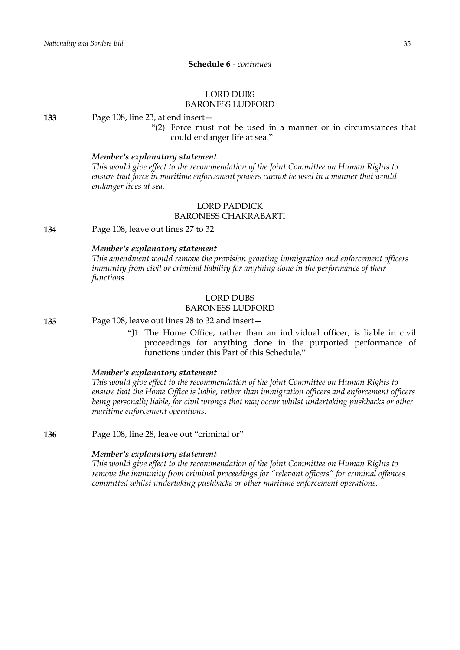# **Schedule 6** *- continued*

#### LORD DUBS BARONESS LUDFORD

#### **133** Page 108, line 23, at end insert—

"(2) Force must not be used in a manner or in circumstances that could endanger life at sea."

#### *Member's explanatory statement*

*This would give effect to the recommendation of the Joint Committee on Human Rights to ensure that force in maritime enforcement powers cannot be used in a manner that would endanger lives at sea.*

# LORD PADDICK BARONESS CHAKRABARTI

**134** Page 108, leave out lines 27 to 32

# *Member's explanatory statement*

*This amendment would remove the provision granting immigration and enforcement officers immunity from civil or criminal liability for anything done in the performance of their functions.*

# LORD DUBS

### BARONESS LUDFORD

**135** Page 108, leave out lines 28 to 32 and insert—

"J1 The Home Office, rather than an individual officer, is liable in civil proceedings for anything done in the purported performance of functions under this Part of this Schedule."

#### *Member's explanatory statement*

*This would give effect to the recommendation of the Joint Committee on Human Rights to ensure that the Home Office is liable, rather than immigration officers and enforcement officers being personally liable, for civil wrongs that may occur whilst undertaking pushbacks or other maritime enforcement operations.*

**136** Page 108, line 28, leave out "criminal or"

#### *Member's explanatory statement*

*This would give effect to the recommendation of the Joint Committee on Human Rights to remove the immunity from criminal proceedings for "relevant officers" for criminal offences committed whilst undertaking pushbacks or other maritime enforcement operations.*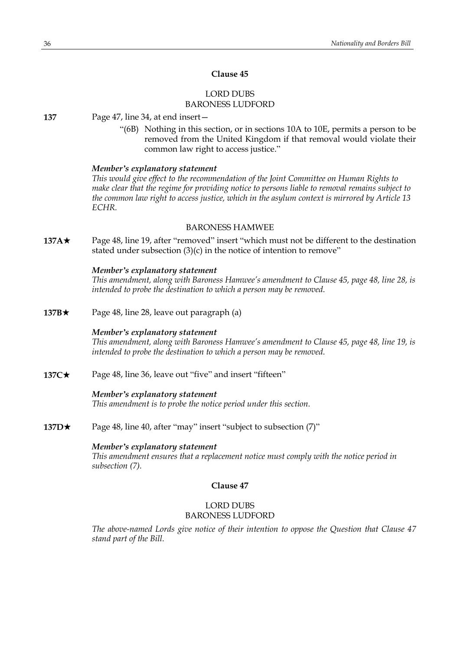# LORD DUBS BARONESS LUDFORD

**137** Page 47, line 34, at end insert—

"(6B) Nothing in this section, or in sections 10A to 10E, permits a person to be removed from the United Kingdom if that removal would violate their common law right to access justice."

#### *Member's explanatory statement*

*This would give effect to the recommendation of the Joint Committee on Human Rights to make clear that the regime for providing notice to persons liable to removal remains subject to the common law right to access justice, which in the asylum context is mirrored by Article 13 ECHR.*

### BARONESS HAMWEE

**137A**\* Page 48, line 19, after "removed" insert "which must not be different to the destination stated under subsection (3)(c) in the notice of intention to remove"

#### *Member's explanatory statement*

*This amendment, along with Baroness Hamwee's amendment to Clause 45, page 48, line 28, is intended to probe the destination to which a person may be removed.*

**137B**★ Page 48, line 28, leave out paragraph (a)

### *Member's explanatory statement*

*This amendment, along with Baroness Hamwee's amendment to Clause 45, page 48, line 19, is intended to probe the destination to which a person may be removed.*

**137C★** Page 48, line 36, leave out "five" and insert "fifteen"

### *Member's explanatory statement*

*This amendment is to probe the notice period under this section.*

**137D★** Page 48, line 40, after "may" insert "subject to subsection (7)"

### *Member's explanatory statement*

*This amendment ensures that a replacement notice must comply with the notice period in subsection (7).*

# **Clause 47**

# LORD DUBS BARONESS LUDFORD

*The above-named Lords give notice of their intention to oppose the Question that Clause 47 stand part of the Bill.*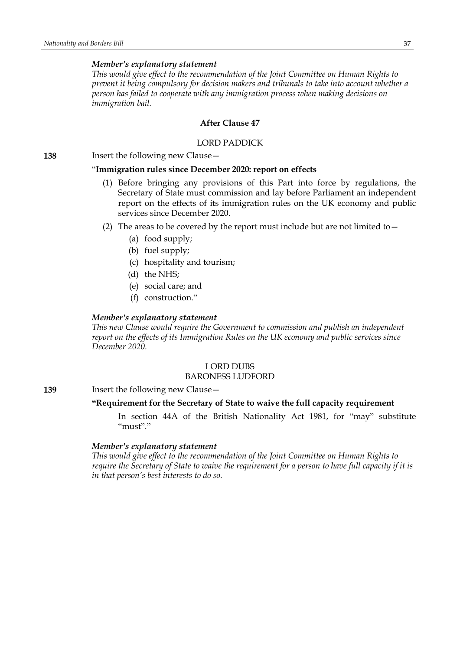### *Member's explanatory statement*

*This would give effect to the recommendation of the Joint Committee on Human Rights to prevent it being compulsory for decision makers and tribunals to take into account whether a person has failed to cooperate with any immigration process when making decisions on immigration bail.*

# **After Clause 47**

#### LORD PADDICK

**138** Insert the following new Clause—

#### "**Immigration rules since December 2020: report on effects**

- (1) Before bringing any provisions of this Part into force by regulations, the Secretary of State must commission and lay before Parliament an independent report on the effects of its immigration rules on the UK economy and public services since December 2020.
- (2) The areas to be covered by the report must include but are not limited to  $-$ 
	- (a) food supply;
	- (b) fuel supply;
	- (c) hospitality and tourism;
	- (d) the NHS;
	- (e) social care; and
	- (f) construction."

### *Member's explanatory statement*

*This new Clause would require the Government to commission and publish an independent report on the effects of its Immigration Rules on the UK economy and public services since December 2020.*

# LORD DUBS

#### BARONESS LUDFORD

**139** Insert the following new Clause—

# **"Requirement for the Secretary of State to waive the full capacity requirement**

In section 44A of the British Nationality Act 1981, for "may" substitute "must"."

#### *Member's explanatory statement*

*This would give effect to the recommendation of the Joint Committee on Human Rights to* require the Secretary of State to waive the requirement for a person to have full capacity if it is *in that person's best interests to do so.*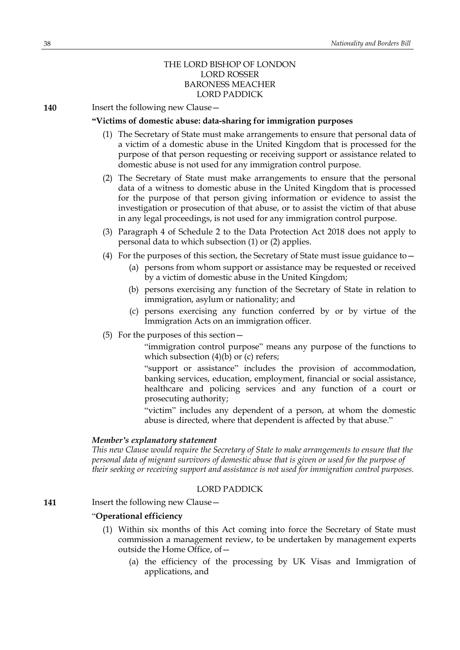# THE LORD BISHOP OF LONDON LORD ROSSER BARONESS MEACHER LORD PADDICK

**140** Insert the following new Clause -

# **"Victims of domestic abuse: data-sharing for immigration purposes**

- (1) The Secretary of State must make arrangements to ensure that personal data of a victim of a domestic abuse in the United Kingdom that is processed for the purpose of that person requesting or receiving support or assistance related to domestic abuse is not used for any immigration control purpose.
- (2) The Secretary of State must make arrangements to ensure that the personal data of a witness to domestic abuse in the United Kingdom that is processed for the purpose of that person giving information or evidence to assist the investigation or prosecution of that abuse, or to assist the victim of that abuse in any legal proceedings, is not used for any immigration control purpose.
- (3) Paragraph 4 of Schedule 2 to the Data Protection Act 2018 does not apply to personal data to which subsection (1) or (2) applies.
- (4) For the purposes of this section, the Secretary of State must issue guidance to  $-$ 
	- (a) persons from whom support or assistance may be requested or received by a victim of domestic abuse in the United Kingdom;
	- (b) persons exercising any function of the Secretary of State in relation to immigration, asylum or nationality; and
	- (c) persons exercising any function conferred by or by virtue of the Immigration Acts on an immigration officer.
- (5) For the purposes of this section—

"immigration control purpose" means any purpose of the functions to which subsection  $(4)(b)$  or (c) refers;

"support or assistance" includes the provision of accommodation, banking services, education, employment, financial or social assistance, healthcare and policing services and any function of a court or prosecuting authority;

"victim" includes any dependent of a person, at whom the domestic abuse is directed, where that dependent is affected by that abuse."

#### *Member's explanatory statement*

*This new Clause would require the Secretary of State to make arrangements to ensure that the personal data of migrant survivors of domestic abuse that is given or used for the purpose of their seeking or receiving support and assistance is not used for immigration control purposes.*

### LORD PADDICK

**141** Insert the following new Clause -

#### "**Operational efficiency**

- (1) Within six months of this Act coming into force the Secretary of State must commission a management review, to be undertaken by management experts outside the Home Office, of—
	- (a) the efficiency of the processing by UK Visas and Immigration of applications, and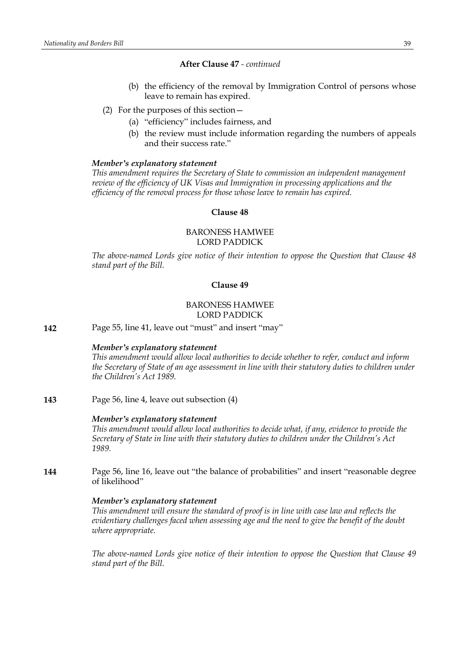- (b) the efficiency of the removal by Immigration Control of persons whose leave to remain has expired.
- (2) For the purposes of this section—
	- (a) "efficiency" includes fairness, and
	- (b) the review must include information regarding the numbers of appeals and their success rate."

### *Member's explanatory statement*

*This amendment requires the Secretary of State to commission an independent management review of the efficiency of UK Visas and Immigration in processing applications and the efficiency of the removal process for those whose leave to remain has expired.*

### **Clause 48**

# BARONESS HAMWEE LORD PADDICK

*The above-named Lords give notice of their intention to oppose the Question that Clause 48 stand part of the Bill.*

# **Clause 49**

# BARONESS HAMWEE LORD PADDICK

**142** Page 55, line 41, leave out "must" and insert "may"

### *Member's explanatory statement*

*This amendment would allow local authorities to decide whether to refer, conduct and inform the Secretary of State of an age assessment in line with their statutory duties to children under the Children's Act 1989.*

**143** Page 56, line 4, leave out subsection (4)

#### *Member's explanatory statement*

*This amendment would allow local authorities to decide what, if any, evidence to provide the Secretary of State in line with their statutory duties to children under the Children's Act 1989.*

**144** Page 56, line 16, leave out "the balance of probabilities" and insert "reasonable degree of likelihood"

#### *Member's explanatory statement*

*This amendment will ensure the standard of proof is in line with case law and reflects the evidentiary challenges faced when assessing age and the need to give the benefit of the doubt where appropriate.*

*The above-named Lords give notice of their intention to oppose the Question that Clause 49 stand part of the Bill.*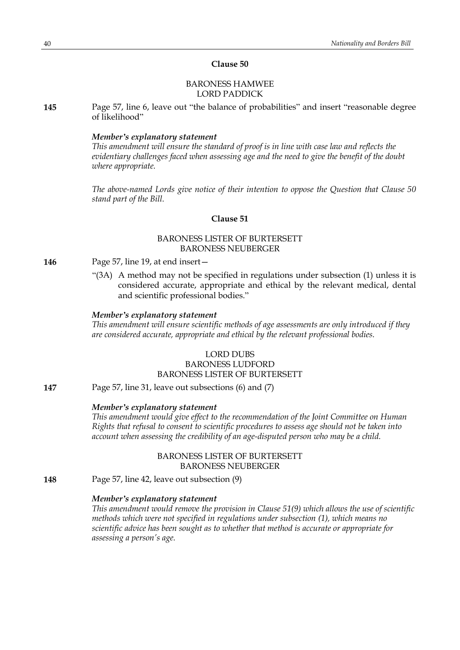# BARONESS HAMWEE LORD PADDICK

**145** Page 57, line 6, leave out "the balance of probabilities" and insert "reasonable degree of likelihood"

#### *Member's explanatory statement*

*This amendment will ensure the standard of proof is in line with case law and reflects the evidentiary challenges faced when assessing age and the need to give the benefit of the doubt where appropriate.*

*The above-named Lords give notice of their intention to oppose the Question that Clause 50 stand part of the Bill.*

# **Clause 51**

# BARONESS LISTER OF BURTERSETT BARONESS NEUBERGER

- **146** Page 57, line 19, at end insert—
	- "(3A) A method may not be specified in regulations under subsection (1) unless it is considered accurate, appropriate and ethical by the relevant medical, dental and scientific professional bodies."

#### *Member's explanatory statement*

*This amendment will ensure scientific methods of age assessments are only introduced if they are considered accurate, appropriate and ethical by the relevant professional bodies.*

# LORD DUBS

# BARONESS LUDFORD BARONESS LISTER OF BURTERSETT

**147** Page 57, line 31, leave out subsections (6) and (7)

#### *Member's explanatory statement*

*This amendment would give effect to the recommendation of the Joint Committee on Human Rights that refusal to consent to scientific procedures to assess age should not be taken into account when assessing the credibility of an age-disputed person who may be a child.*

# BARONESS LISTER OF BURTERSETT BARONESS NEUBERGER

**148** Page 57, line 42, leave out subsection (9)

### *Member's explanatory statement*

*This amendment would remove the provision in Clause 51(9) which allows the use of scientific methods which were not specified in regulations under subsection (1), which means no scientific advice has been sought as to whether that method is accurate or appropriate for assessing a person's age.*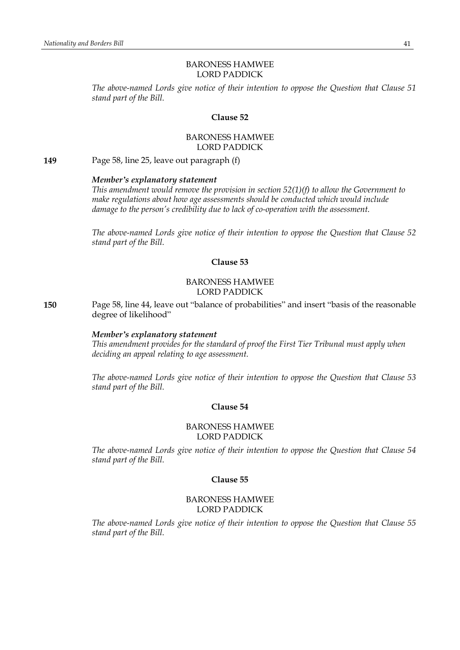# BARONESS HAMWEE LORD PADDICK

*The above-named Lords give notice of their intention to oppose the Question that Clause 51 stand part of the Bill.*

# **Clause 52**

# BARONESS HAMWEE LORD PADDICK

**149** Page 58, line 25, leave out paragraph (f)

### *Member's explanatory statement*

*This amendment would remove the provision in section 52(1)(f) to allow the Government to make regulations about how age assessments should be conducted which would include damage to the person's credibility due to lack of co-operation with the assessment.*

*The above-named Lords give notice of their intention to oppose the Question that Clause 52 stand part of the Bill.*

# **Clause 53**

#### BARONESS HAMWEE LORD PADDICK

**150** Page 58, line 44, leave out "balance of probabilities" and insert "basis of the reasonable degree of likelihood"

# *Member's explanatory statement*

*This amendment provides for the standard of proof the First Tier Tribunal must apply when deciding an appeal relating to age assessment.*

*The above-named Lords give notice of their intention to oppose the Question that Clause 53 stand part of the Bill.*

#### **Clause 54**

### BARONESS HAMWEE LORD PADDICK

*The above-named Lords give notice of their intention to oppose the Question that Clause 54 stand part of the Bill.*

# **Clause 55**

### BARONESS HAMWEE LORD PADDICK

*The above-named Lords give notice of their intention to oppose the Question that Clause 55 stand part of the Bill.*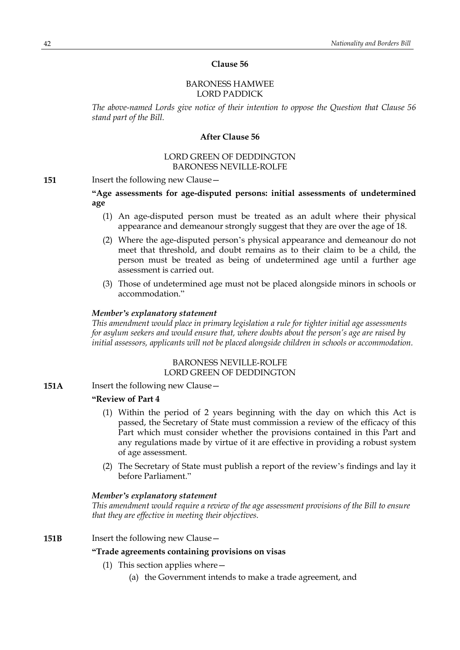### BARONESS HAMWEE LORD PADDICK

*The above-named Lords give notice of their intention to oppose the Question that Clause 56 stand part of the Bill.*

### **After Clause 56**

# LORD GREEN OF DEDDINGTON BARONESS NEVILLE-ROLFE

**151** Insert the following new Clause -

**"Age assessments for age-disputed persons: initial assessments of undetermined age**

- (1) An age-disputed person must be treated as an adult where their physical appearance and demeanour strongly suggest that they are over the age of 18.
- (2) Where the age-disputed person's physical appearance and demeanour do not meet that threshold, and doubt remains as to their claim to be a child, the person must be treated as being of undetermined age until a further age assessment is carried out.
- (3) Those of undetermined age must not be placed alongside minors in schools or accommodation."

#### *Member's explanatory statement*

*This amendment would place in primary legislation a rule for tighter initial age assessments for asylum seekers and would ensure that, where doubts about the person's age are raised by initial assessors, applicants will not be placed alongside children in schools or accommodation.*

# BARONESS NEVILLE-ROLFE LORD GREEN OF DEDDINGTON

**151A** Insert the following new Clause -

### **"Review of Part 4**

- (1) Within the period of 2 years beginning with the day on which this Act is passed, the Secretary of State must commission a review of the efficacy of this Part which must consider whether the provisions contained in this Part and any regulations made by virtue of it are effective in providing a robust system of age assessment.
- (2) The Secretary of State must publish a report of the review's findings and lay it before Parliament."

#### *Member's explanatory statement*

*This amendment would require a review of the age assessment provisions of the Bill to ensure that they are effective in meeting their objectives.*

### **151B** Insert the following new Clause -

# **"Trade agreements containing provisions on visas**

- (1) This section applies where—
	- (a) the Government intends to make a trade agreement, and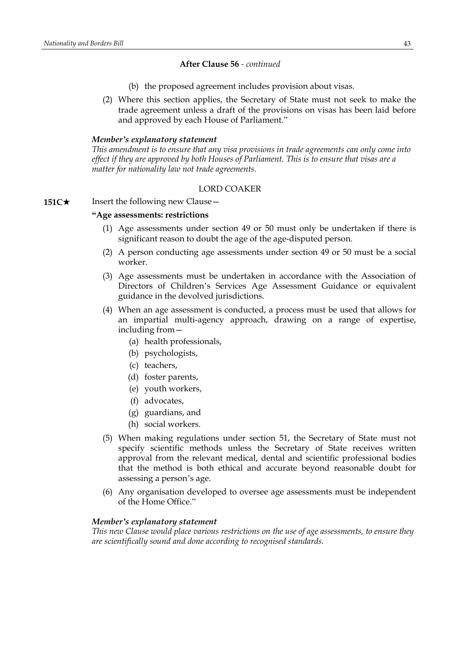- (b) the proposed agreement includes provision about visas.
- (2) Where this section applies, the Secretary of State must not seek to make the trade agreement unless a draft of the provisions on visas has been laid before and approved by each House of Parliament."

#### *Member's explanatory statement*

*This amendment is to ensure that any visa provisions in trade agreements can only come into effect if they are approved by both Houses of Parliament. This is to ensure that visas are a matter for nationality law not trade agreements.*

#### LORD COAKER

# **151C**★ Insert the following new Clause —

### **"Age assessments: restrictions**

- (1) Age assessments under section 49 or 50 must only be undertaken if there is significant reason to doubt the age of the age-disputed person.
- (2) A person conducting age assessments under section 49 or 50 must be a social worker.
- (3) Age assessments must be undertaken in accordance with the Association of Directors of Children's Services Age Assessment Guidance or equivalent guidance in the devolved jurisdictions.
- (4) When an age assessment is conducted, a process must be used that allows for an impartial multi-agency approach, drawing on a range of expertise, including from—
	- (a) health professionals,
	- (b) psychologists,
	- (c) teachers,
	- (d) foster parents,
	- (e) youth workers,
	- (f) advocates,
	- (g) guardians, and
	- (h) social workers.
- (5) When making regulations under section 51, the Secretary of State must not specify scientific methods unless the Secretary of State receives written approval from the relevant medical, dental and scientific professional bodies that the method is both ethical and accurate beyond reasonable doubt for assessing a person's age.
- (6) Any organisation developed to oversee age assessments must be independent of the Home Office."

#### *Member's explanatory statement*

*This new Clause would place various restrictions on the use of age assessments, to ensure they are scientifically sound and done according to recognised standards.*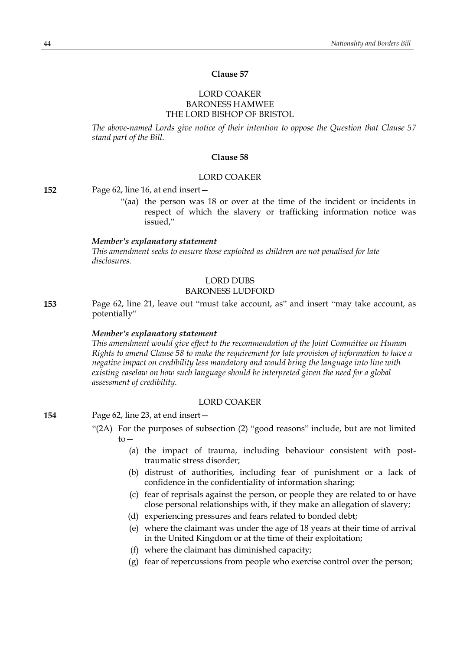# LORD COAKER BARONESS HAMWEE THE LORD BISHOP OF BRISTOL

*The above-named Lords give notice of their intention to oppose the Question that Clause 57 stand part of the Bill.*

# **Clause 58**

### LORD COAKER

**152** Page 62, line 16, at end insert—

"(aa) the person was 18 or over at the time of the incident or incidents in respect of which the slavery or trafficking information notice was issued,"

#### *Member's explanatory statement*

*This amendment seeks to ensure those exploited as children are not penalised for late disclosures.*

# LORD DUBS

# BARONESS LUDFORD

**153** Page 62, line 21, leave out "must take account, as" and insert "may take account, as potentially"

#### *Member's explanatory statement*

*This amendment would give effect to the recommendation of the Joint Committee on Human Rights to amend Clause 58 to make the requirement for late provision of information to have a negative impact on credibility less mandatory and would bring the language into line with existing caselaw on how such language should be interpreted given the need for a global assessment of credibility.*

# LORD COAKER

**154** Page 62, line 23, at end insert—

- "(2A) For the purposes of subsection (2) "good reasons" include, but are not limited to—
	- (a) the impact of trauma, including behaviour consistent with posttraumatic stress disorder;
	- (b) distrust of authorities, including fear of punishment or a lack of confidence in the confidentiality of information sharing;
	- (c) fear of reprisals against the person, or people they are related to or have close personal relationships with, if they make an allegation of slavery;
	- (d) experiencing pressures and fears related to bonded debt;
	- (e) where the claimant was under the age of 18 years at their time of arrival in the United Kingdom or at the time of their exploitation;
	- (f) where the claimant has diminished capacity;
	- (g) fear of repercussions from people who exercise control over the person;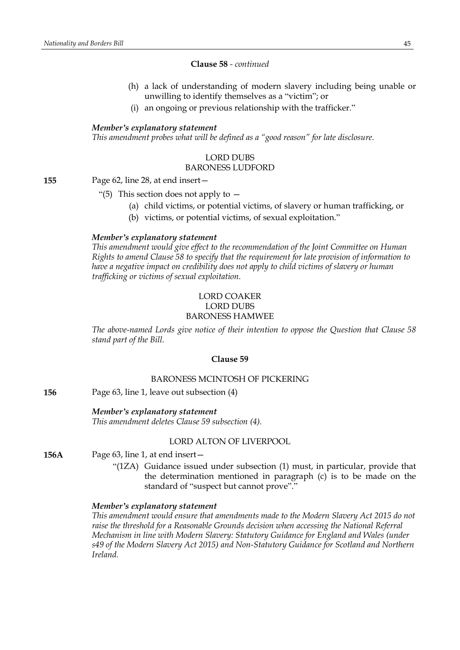# **Clause 58** *- continued*

- (h) a lack of understanding of modern slavery including being unable or unwilling to identify themselves as a "victim"; or
- (i) an ongoing or previous relationship with the trafficker."

# *Member's explanatory statement*

*This amendment probes what will be defined as a "good reason" for late disclosure.*

# LORD DUBS BARONESS LUDFORD

**155** Page 62, line 28, at end insert—

- "(5) This section does not apply to  $-$ 
	- (a) child victims, or potential victims, of slavery or human trafficking, or
	- (b) victims, or potential victims, of sexual exploitation."

### *Member's explanatory statement*

*This amendment would give effect to the recommendation of the Joint Committee on Human Rights to amend Clause 58 to specify that the requirement for late provision of information to have a negative impact on credibility does not apply to child victims of slavery or human trafficking or victims of sexual exploitation.*

# LORD COAKER LORD DUBS BARONESS HAMWEE

*The above-named Lords give notice of their intention to oppose the Question that Clause 58 stand part of the Bill.*

#### **Clause 59**

#### BARONESS MCINTOSH OF PICKERING

**156** Page 63, line 1, leave out subsection (4)

### *Member's explanatory statement*

*This amendment deletes Clause 59 subsection (4).*

#### LORD ALTON OF LIVERPOOL

- **156A** Page 63, line 1, at end insert—
	- "(1ZA) Guidance issued under subsection (1) must, in particular, provide that the determination mentioned in paragraph (c) is to be made on the standard of "suspect but cannot prove"."

#### *Member's explanatory statement*

*This amendment would ensure that amendments made to the Modern Slavery Act 2015 do not raise the threshold for a Reasonable Grounds decision when accessing the National Referral Mechanism in line with Modern Slavery: Statutory Guidance for England and Wales (under s49 of the Modern Slavery Act 2015) and Non-Statutory Guidance for Scotland and Northern Ireland.*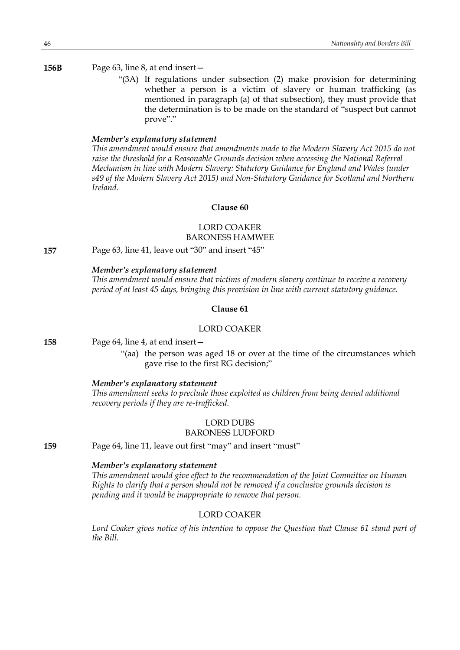### **156B** Page 63, line 8, at end insert—

"(3A) If regulations under subsection (2) make provision for determining whether a person is a victim of slavery or human trafficking (as mentioned in paragraph (a) of that subsection), they must provide that the determination is to be made on the standard of "suspect but cannot prove"."

# *Member's explanatory statement*

*This amendment would ensure that amendments made to the Modern Slavery Act 2015 do not raise the threshold for a Reasonable Grounds decision when accessing the National Referral Mechanism in line with Modern Slavery: Statutory Guidance for England and Wales (under s49 of the Modern Slavery Act 2015) and Non-Statutory Guidance for Scotland and Northern Ireland.*

# **Clause 60**

## LORD COAKER BARONESS HAMWEE

**157** Page 63, line 41, leave out "30" and insert "45"

# *Member's explanatory statement*

*This amendment would ensure that victims of modern slavery continue to receive a recovery period of at least 45 days, bringing this provision in line with current statutory guidance.*

# **Clause 61**

#### LORD COAKER

**158** Page 64, line 4, at end insert—

"(aa) the person was aged 18 or over at the time of the circumstances which gave rise to the first RG decision;"

#### *Member's explanatory statement*

*This amendment seeks to preclude those exploited as children from being denied additional recovery periods if they are re-trafficked.*

#### LORD DUBS BARONESS LUDFORD

**159** Page 64, line 11, leave out first "may" and insert "must"

# *Member's explanatory statement*

*This amendment would give effect to the recommendation of the Joint Committee on Human Rights to clarify that a person should not be removed if a conclusive grounds decision is pending and it would be inappropriate to remove that person.*

# LORD COAKER

*Lord Coaker gives notice of his intention to oppose the Question that Clause 61 stand part of the Bill.*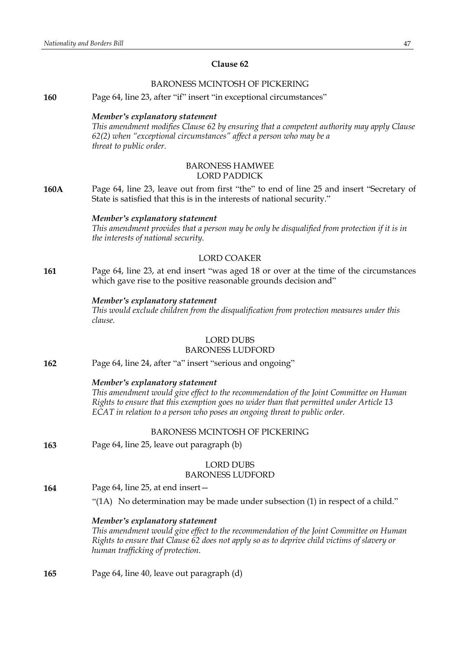### BARONESS MCINTOSH OF PICKERING

**160** Page 64, line 23, after "if" insert "in exceptional circumstances"

#### *Member's explanatory statement*

*This amendment modifies Clause 62 by ensuring that a competent authority may apply Clause 62(2) when "exceptional circumstances" affect a person who may be a threat to public order.*

#### BARONESS HAMWEE LORD PADDICK

**160A** Page 64, line 23, leave out from first "the" to end of line 25 and insert "Secretary of State is satisfied that this is in the interests of national security."

#### *Member's explanatory statement*

*This amendment provides that a person may be only be disqualified from protection if it is in the interests of national security.*

# LORD COAKER

**161** Page 64, line 23, at end insert "was aged 18 or over at the time of the circumstances which gave rise to the positive reasonable grounds decision and"

### *Member's explanatory statement*

*This would exclude children from the disqualification from protection measures under this clause.*

# LORD DUBS

### BARONESS LUDFORD

**162** Page 64, line 24, after "a" insert "serious and ongoing"

#### *Member's explanatory statement*

*This amendment would give effect to the recommendation of the Joint Committee on Human Rights to ensure that this exemption goes no wider than that permitted under Article 13 ECAT in relation to a person who poses an ongoing threat to public order.*

# BARONESS MCINTOSH OF PICKERING

**163** Page 64, line 25, leave out paragraph (b)

### LORD DUBS

#### BARONESS LUDFORD

- **164** Page 64, line 25, at end insert—
	- "(1A) No determination may be made under subsection (1) in respect of a child."

### *Member's explanatory statement*

*This amendment would give effect to the recommendation of the Joint Committee on Human Rights to ensure that Clause 62 does not apply so as to deprive child victims of slavery or human trafficking of protection.*

**165** Page 64, line 40, leave out paragraph (d)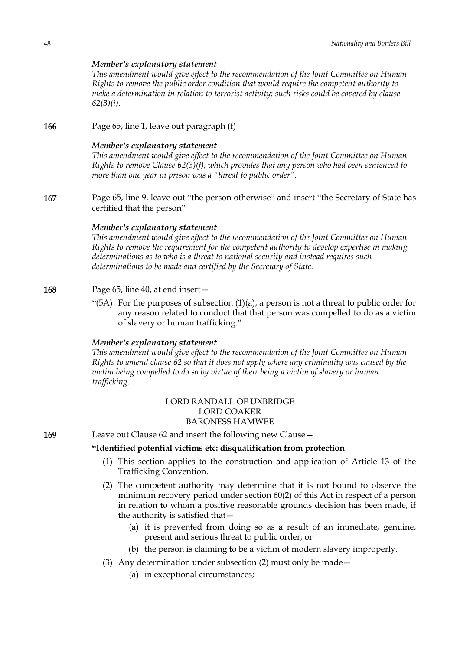# *Member's explanatory statement*

*This amendment would give effect to the recommendation of the Joint Committee on Human Rights to remove the public order condition that would require the competent authority to make a determination in relation to terrorist activity; such risks could be covered by clause 62(3)(i).*

**166** Page 65, line 1, leave out paragraph (f)

### *Member's explanatory statement*

*This amendment would give effect to the recommendation of the Joint Committee on Human Rights to remove Clause 62(3)(f), which provides that any person who had been sentenced to more than one year in prison was a "threat to public order".*

**167** Page 65, line 9, leave out "the person otherwise" and insert "the Secretary of State has certified that the person"

#### *Member's explanatory statement*

*This amendment would give effect to the recommendation of the Joint Committee on Human Rights to remove the requirement for the competent authority to develop expertise in making determinations as to who is a threat to national security and instead requires such determinations to be made and certified by the Secretary of State.*

#### **168** Page 65, line 40, at end insert—

"(5A) For the purposes of subsection  $(1)(a)$ , a person is not a threat to public order for any reason related to conduct that that person was compelled to do as a victim of slavery or human trafficking."

# *Member's explanatory statement*

*This amendment would give effect to the recommendation of the Joint Committee on Human Rights to amend clause 62 so that it does not apply where any criminality was caused by the victim being compelled to do so by virtue of their being a victim of slavery or human trafficking.*

# LORD RANDALL OF UXBRIDGE LORD COAKER BARONESS HAMWEE

**169** Leave out Clause 62 and insert the following new Clause—

# **"Identified potential victims etc: disqualification from protection**

- (1) This section applies to the construction and application of Article 13 of the Trafficking Convention.
- (2) The competent authority may determine that it is not bound to observe the minimum recovery period under section 60(2) of this Act in respect of a person in relation to whom a positive reasonable grounds decision has been made, if the authority is satisfied that—
	- (a) it is prevented from doing so as a result of an immediate, genuine, present and serious threat to public order; or
	- (b) the person is claiming to be a victim of modern slavery improperly.
- (3) Any determination under subsection (2) must only be made—
	- (a) in exceptional circumstances;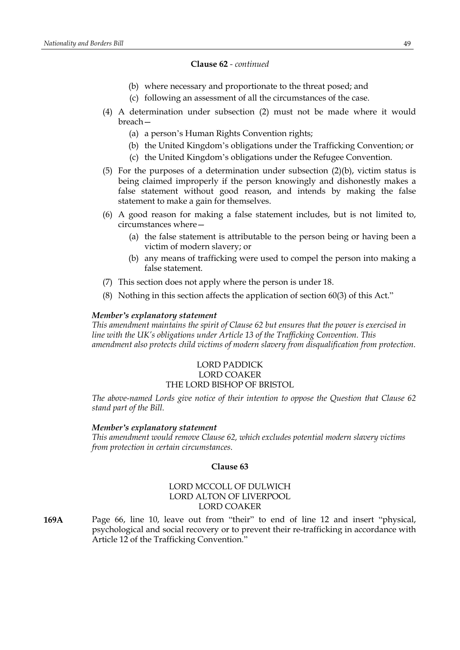#### **Clause 62** *- continued*

- (b) where necessary and proportionate to the threat posed; and
- (c) following an assessment of all the circumstances of the case.
- (4) A determination under subsection (2) must not be made where it would breach—
	- (a) a person's Human Rights Convention rights;
	- (b) the United Kingdom's obligations under the Trafficking Convention; or
	- (c) the United Kingdom's obligations under the Refugee Convention.
- (5) For the purposes of a determination under subsection (2)(b), victim status is being claimed improperly if the person knowingly and dishonestly makes a false statement without good reason, and intends by making the false statement to make a gain for themselves.
- (6) A good reason for making a false statement includes, but is not limited to, circumstances where—
	- (a) the false statement is attributable to the person being or having been a victim of modern slavery; or
	- (b) any means of trafficking were used to compel the person into making a false statement.
- (7) This section does not apply where the person is under 18.
- (8) Nothing in this section affects the application of section 60(3) of this Act."

#### *Member's explanatory statement*

*This amendment maintains the spirit of Clause 62 but ensures that the power is exercised in line with the UK's obligations under Article 13 of the Trafficking Convention. This amendment also protects child victims of modern slavery from disqualification from protection.*

# LORD PADDICK LORD COAKER THE LORD BISHOP OF BRISTOL

*The above-named Lords give notice of their intention to oppose the Question that Clause 62 stand part of the Bill.*

#### *Member's explanatory statement*

*This amendment would remove Clause 62, which excludes potential modern slavery victims from protection in certain circumstances.*

#### **Clause 63**

# LORD MCCOLL OF DULWICH LORD ALTON OF LIVERPOOL LORD COAKER

**169A** Page 66, line 10, leave out from "their" to end of line 12 and insert "physical, psychological and social recovery or to prevent their re-trafficking in accordance with Article 12 of the Trafficking Convention."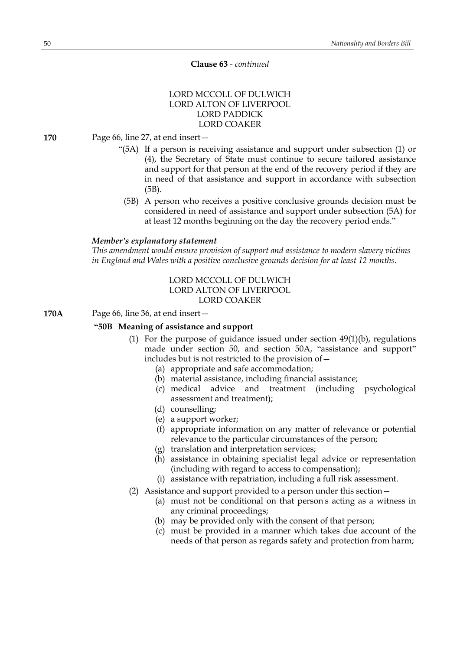# **Clause 63** *- continued*

# LORD MCCOLL OF DULWICH LORD ALTON OF LIVERPOOL LORD PADDICK LORD COAKER

**170** Page 66, line 27, at end insert—

- "(5A) If a person is receiving assistance and support under subsection (1) or (4), the Secretary of State must continue to secure tailored assistance and support for that person at the end of the recovery period if they are in need of that assistance and support in accordance with subsection (5B).
	- (5B) A person who receives a positive conclusive grounds decision must be considered in need of assistance and support under subsection (5A) for at least 12 months beginning on the day the recovery period ends."

# *Member's explanatory statement*

*This amendment would ensure provision of support and assistance to modern slavery victims in England and Wales with a positive conclusive grounds decision for at least 12 months.*

# LORD MCCOLL OF DULWICH LORD ALTON OF LIVERPOOL LORD COAKER

**170A** Page 66, line 36, at end insert—

# **"50B Meaning of assistance and support**

- (1) For the purpose of guidance issued under section  $49(1)(b)$ , regulations made under section 50, and section 50A, "assistance and support" includes but is not restricted to the provision of—
	- (a) appropriate and safe accommodation;
	- (b) material assistance, including financial assistance;
	- (c) medical advice and treatment (including psychological assessment and treatment);
	- (d) counselling;
	- (e) a support worker;
	- (f) appropriate information on any matter of relevance or potential relevance to the particular circumstances of the person;
	- (g) translation and interpretation services;
	- (h) assistance in obtaining specialist legal advice or representation (including with regard to access to compensation);
	- (i) assistance with repatriation, including a full risk assessment.
- (2) Assistance and support provided to a person under this section—
	- (a) must not be conditional on that person's acting as a witness in any criminal proceedings;
	- (b) may be provided only with the consent of that person;
	- (c) must be provided in a manner which takes due account of the needs of that person as regards safety and protection from harm;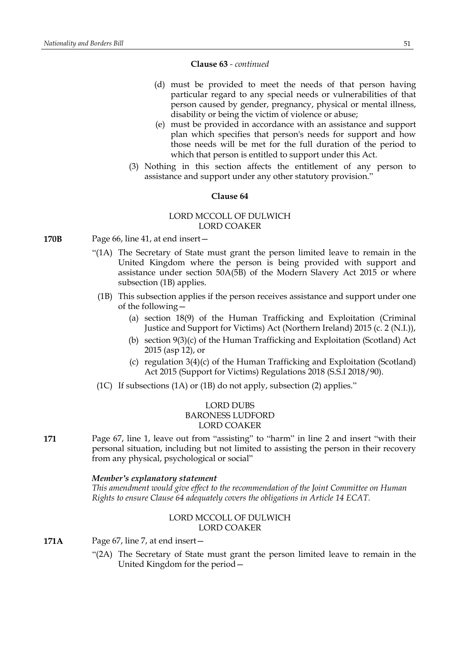#### **Clause 63** *- continued*

- (d) must be provided to meet the needs of that person having particular regard to any special needs or vulnerabilities of that person caused by gender, pregnancy, physical or mental illness, disability or being the victim of violence or abuse;
- (e) must be provided in accordance with an assistance and support plan which specifies that person's needs for support and how those needs will be met for the full duration of the period to which that person is entitled to support under this Act.
- (3) Nothing in this section affects the entitlement of any person to assistance and support under any other statutory provision."

# **Clause 64**

# LORD MCCOLL OF DULWICH LORD COAKER

- **170B** Page 66, line 41, at end insert—
	- "(1A) The Secretary of State must grant the person limited leave to remain in the United Kingdom where the person is being provided with support and assistance under section 50A(5B) of the Modern Slavery Act 2015 or where subsection (1B) applies.
		- (1B) This subsection applies if the person receives assistance and support under one of the following—
			- (a) section 18(9) of the Human Trafficking and Exploitation (Criminal Justice and Support for Victims) Act (Northern Ireland) 2015 (c. 2 (N.I.)),
			- (b) section 9(3)(c) of the Human Trafficking and Exploitation (Scotland) Act 2015 (asp 12), or
			- (c) regulation 3(4)(c) of the Human Trafficking and Exploitation (Scotland) Act 2015 (Support for Victims) Regulations 2018 (S.S.I 2018/90).
	- (1C) If subsections (1A) or (1B) do not apply, subsection (2) applies."

# LORD DUBS BARONESS LUDFORD LORD COAKER

**171** Page 67, line 1, leave out from "assisting" to "harm" in line 2 and insert "with their personal situation, including but not limited to assisting the person in their recovery from any physical, psychological or social"

#### *Member's explanatory statement*

*This amendment would give effect to the recommendation of the Joint Committee on Human Rights to ensure Clause 64 adequately covers the obligations in Article 14 ECAT.*

# LORD MCCOLL OF DULWICH LORD COAKER

- **171A** Page 67, line 7, at end insert—
	- "(2A) The Secretary of State must grant the person limited leave to remain in the United Kingdom for the period—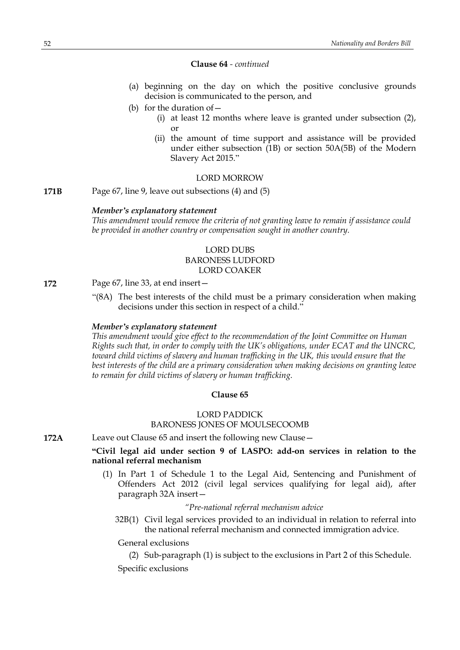#### **Clause 64** *- continued*

- (a) beginning on the day on which the positive conclusive grounds decision is communicated to the person, and
- (b) for the duration of  $-$ 
	- (i) at least 12 months where leave is granted under subsection (2), or
	- (ii) the amount of time support and assistance will be provided under either subsection (1B) or section 50A(5B) of the Modern Slavery Act 2015."

#### LORD MORROW

**171B** Page 67, line 9, leave out subsections (4) and (5)

#### *Member's explanatory statement*

*This amendment would remove the criteria of not granting leave to remain if assistance could be provided in another country or compensation sought in another country.*

# LORD DUBS BARONESS LUDFORD LORD COAKER

# **172** Page 67, line 33, at end insert—

"(8A) The best interests of the child must be a primary consideration when making decisions under this section in respect of a child."

### *Member's explanatory statement*

*This amendment would give effect to the recommendation of the Joint Committee on Human Rights such that, in order to comply with the UK's obligations, under ECAT and the UNCRC, toward child victims of slavery and human trafficking in the UK, this would ensure that the best interests of the child are a primary consideration when making decisions on granting leave to remain for child victims of slavery or human trafficking.*

#### **Clause 65**

# LORD PADDICK BARONESS JONES OF MOULSECOOMB

**172A** Leave out Clause 65 and insert the following new Clause—

# **"Civil legal aid under section 9 of LASPO: add-on services in relation to the national referral mechanism**

(1) In Part 1 of Schedule 1 to the Legal Aid, Sentencing and Punishment of Offenders Act 2012 (civil legal services qualifying for legal aid), after paragraph 32A insert—

#### *"Pre-national referral mechanism advice*

32B(1) Civil legal services provided to an individual in relation to referral into the national referral mechanism and connected immigration advice.

#### General exclusions

(2) Sub-paragraph (1) is subject to the exclusions in Part 2 of this Schedule.

Specific exclusions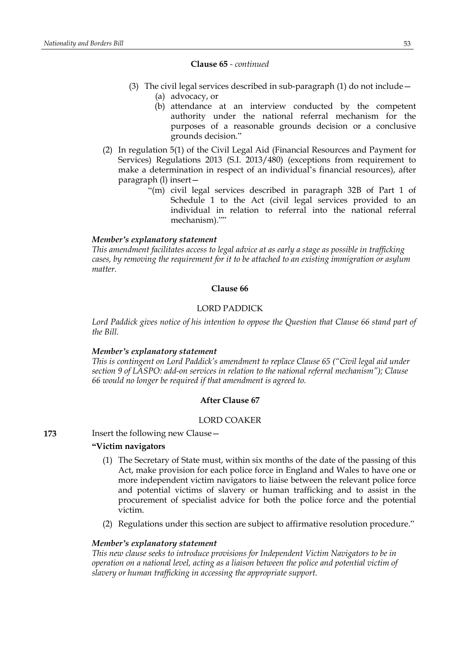#### **Clause 65** *- continued*

- (3) The civil legal services described in sub-paragraph (1) do not include— (a) advocacy, or
	- (b) attendance at an interview conducted by the competent authority under the national referral mechanism for the purposes of a reasonable grounds decision or a conclusive grounds decision."
- (2) In regulation 5(1) of the Civil Legal Aid (Financial Resources and Payment for Services) Regulations 2013 (S.I. 2013/480) (exceptions from requirement to make a determination in respect of an individual's financial resources), after paragraph (l) insert—
	- "(m) civil legal services described in paragraph 32B of Part 1 of Schedule 1 to the Act (civil legal services provided to an individual in relation to referral into the national referral mechanism).""

### *Member's explanatory statement*

*This amendment facilitates access to legal advice at as early a stage as possible in trafficking cases, by removing the requirement for it to be attached to an existing immigration or asylum matter.*

# **Clause 66**

# LORD PADDICK

*Lord Paddick gives notice of his intention to oppose the Question that Clause 66 stand part of the Bill.*

### *Member's explanatory statement*

*This is contingent on Lord Paddick's amendment to replace Clause 65 ("Civil legal aid under section 9 of LASPO: add-on services in relation to the national referral mechanism"); Clause 66 would no longer be required if that amendment is agreed to.*

# **After Clause 67**

### LORD COAKER

**173** Insert the following new Clause—

### **"Victim navigators**

- (1) The Secretary of State must, within six months of the date of the passing of this Act, make provision for each police force in England and Wales to have one or more independent victim navigators to liaise between the relevant police force and potential victims of slavery or human trafficking and to assist in the procurement of specialist advice for both the police force and the potential victim.
- (2) Regulations under this section are subject to affirmative resolution procedure."

#### *Member's explanatory statement*

*This new clause seeks to introduce provisions for Independent Victim Navigators to be in operation on a national level, acting as a liaison between the police and potential victim of slavery or human trafficking in accessing the appropriate support.*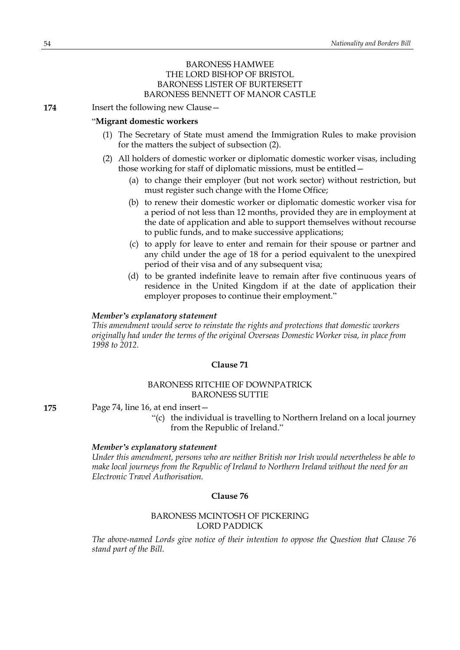# BARONESS HAMWEE THE LORD BISHOP OF BRISTOL BARONESS LISTER OF BURTERSETT BARONESS BENNETT OF MANOR CASTLE

**174** Insert the following new Clause -

#### "**Migrant domestic workers**

- (1) The Secretary of State must amend the Immigration Rules to make provision for the matters the subject of subsection (2).
- (2) All holders of domestic worker or diplomatic domestic worker visas, including those working for staff of diplomatic missions, must be entitled—
	- (a) to change their employer (but not work sector) without restriction, but must register such change with the Home Office;
	- (b) to renew their domestic worker or diplomatic domestic worker visa for a period of not less than 12 months, provided they are in employment at the date of application and able to support themselves without recourse to public funds, and to make successive applications;
	- (c) to apply for leave to enter and remain for their spouse or partner and any child under the age of 18 for a period equivalent to the unexpired period of their visa and of any subsequent visa;
	- (d) to be granted indefinite leave to remain after five continuous years of residence in the United Kingdom if at the date of application their employer proposes to continue their employment."

### *Member's explanatory statement*

*This amendment would serve to reinstate the rights and protections that domestic workers originally had under the terms of the original Overseas Domestic Worker visa, in place from 1998 to 2012.*

#### **Clause 71**

# BARONESS RITCHIE OF DOWNPATRICK BARONESS SUTTIE

**175** Page 74, line 16, at end insert—

"(c) the individual is travelling to Northern Ireland on a local journey from the Republic of Ireland."

#### *Member's explanatory statement*

*Under this amendment, persons who are neither British nor Irish would nevertheless be able to make local journeys from the Republic of Ireland to Northern Ireland without the need for an Electronic Travel Authorisation.*

### **Clause 76**

### BARONESS MCINTOSH OF PICKERING LORD PADDICK

*The above-named Lords give notice of their intention to oppose the Question that Clause 76 stand part of the Bill.*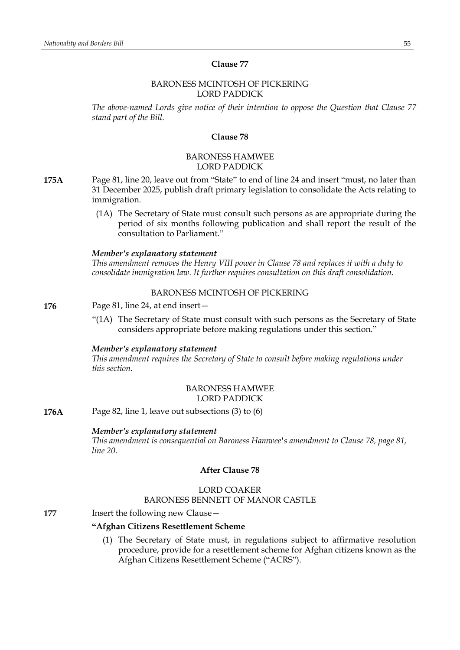# BARONESS MCINTOSH OF PICKERING LORD PADDICK

*The above-named Lords give notice of their intention to oppose the Question that Clause 77 stand part of the Bill.*

### **Clause 78**

# BARONESS HAMWEE LORD PADDICK

- **175A** Page 81, line 20, leave out from "State" to end of line 24 and insert "must, no later than 31 December 2025, publish draft primary legislation to consolidate the Acts relating to immigration.
	- (1A) The Secretary of State must consult such persons as are appropriate during the period of six months following publication and shall report the result of the consultation to Parliament."

#### *Member's explanatory statement*

*This amendment removes the Henry VIII power in Clause 78 and replaces it with a duty to consolidate immigration law. It further requires consultation on this draft consolidation.*

# BARONESS MCINTOSH OF PICKERING

# **176** Page 81, line 24, at end insert—

"(1A) The Secretary of State must consult with such persons as the Secretary of State considers appropriate before making regulations under this section."

# *Member's explanatory statement*

*This amendment requires the Secretary of State to consult before making regulations under this section.*

# BARONESS HAMWEE LORD PADDICK

**176A** Page 82, line 1, leave out subsections (3) to (6)

# *Member's explanatory statement*

*This amendment is consequential on Baroness Hamwee's amendment to Clause 78, page 81, line 20.*

# **After Clause 78**

# LORD COAKER BARONESS BENNETT OF MANOR CASTLE

#### **177** Insert the following new Clause —

#### **"Afghan Citizens Resettlement Scheme**

(1) The Secretary of State must, in regulations subject to affirmative resolution procedure, provide for a resettlement scheme for Afghan citizens known as the Afghan Citizens Resettlement Scheme ("ACRS").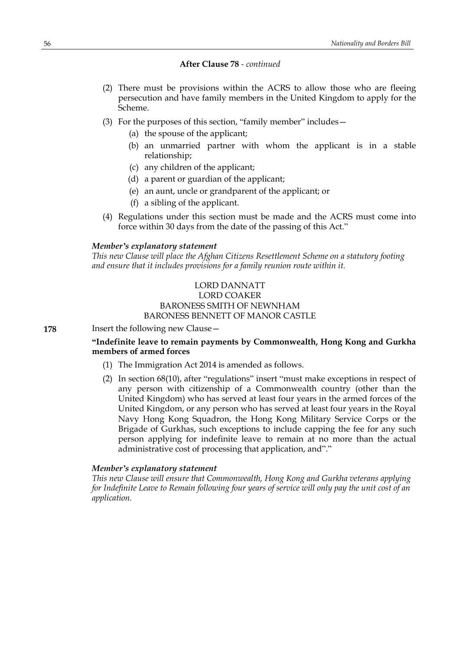- (2) There must be provisions within the ACRS to allow those who are fleeing persecution and have family members in the United Kingdom to apply for the Scheme.
- (3) For the purposes of this section, "family member" includes—
	- (a) the spouse of the applicant;
	- (b) an unmarried partner with whom the applicant is in a stable relationship;
	- (c) any children of the applicant;
	- (d) a parent or guardian of the applicant;
	- (e) an aunt, uncle or grandparent of the applicant; or
	- (f) a sibling of the applicant.
- (4) Regulations under this section must be made and the ACRS must come into force within 30 days from the date of the passing of this Act."

#### *Member's explanatory statement*

*This new Clause will place the Afghan Citizens Resettlement Scheme on a statutory footing and ensure that it includes provisions for a family reunion route within it.*

# LORD DANNATT LORD COAKER BARONESS SMITH OF NEWNHAM BARONESS BENNETT OF MANOR CASTLE

**178** Insert the following new Clause -

# **"Indefinite leave to remain payments by Commonwealth, Hong Kong and Gurkha members of armed forces**

- (1) The Immigration Act 2014 is amended as follows.
- (2) In section 68(10), after "regulations" insert "must make exceptions in respect of any person with citizenship of a Commonwealth country (other than the United Kingdom) who has served at least four years in the armed forces of the United Kingdom, or any person who has served at least four years in the Royal Navy Hong Kong Squadron, the Hong Kong Military Service Corps or the Brigade of Gurkhas, such exceptions to include capping the fee for any such person applying for indefinite leave to remain at no more than the actual administrative cost of processing that application, and"."

#### *Member's explanatory statement*

*This new Clause will ensure that Commonwealth, Hong Kong and Gurkha veterans applying for Indefinite Leave to Remain following four years of service will only pay the unit cost of an application.*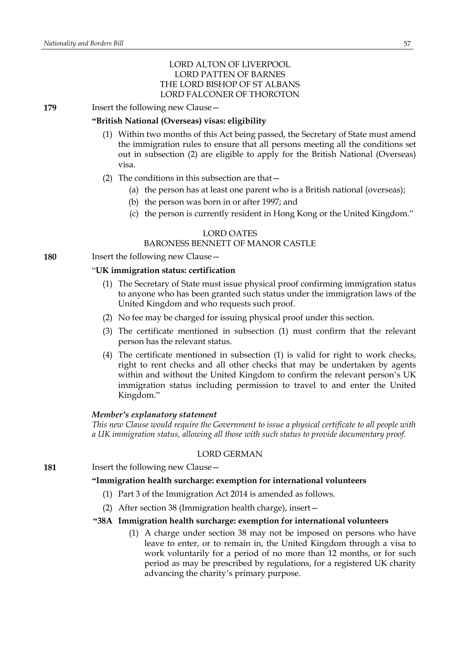# LORD ALTON OF LIVERPOOL LORD PATTEN OF BARNES THE LORD BISHOP OF ST ALBANS LORD FALCONER OF THOROTON

**179** Insert the following new Clause -

# **"British National (Overseas) visas: eligibility**

- (1) Within two months of this Act being passed, the Secretary of State must amend the immigration rules to ensure that all persons meeting all the conditions set out in subsection (2) are eligible to apply for the British National (Overseas) visa.
- (2) The conditions in this subsection are that—
	- (a) the person has at least one parent who is a British national (overseas);
	- (b) the person was born in or after 1997; and
	- (c) the person is currently resident in Hong Kong or the United Kingdom."

# LORD OATES

# BARONESS BENNETT OF MANOR CASTLE

**180** Insert the following new Clause -

# "**UK immigration status: certification**

- (1) The Secretary of State must issue physical proof confirming immigration status to anyone who has been granted such status under the immigration laws of the United Kingdom and who requests such proof.
- (2) No fee may be charged for issuing physical proof under this section.
- (3) The certificate mentioned in subsection (1) must confirm that the relevant person has the relevant status.
- (4) The certificate mentioned in subsection (1) is valid for right to work checks, right to rent checks and all other checks that may be undertaken by agents within and without the United Kingdom to confirm the relevant person's UK immigration status including permission to travel to and enter the United Kingdom."

### *Member's explanatory statement*

*This new Clause would require the Government to issue a physical certificate to all people with a UK immigration status, allowing all those with such status to provide documentary proof.*

### LORD GERMAN

**181** Insert the following new Clause—

### **"Immigration health surcharge: exemption for international volunteers**

- (1) Part 3 of the Immigration Act 2014 is amended as follows.
- (2) After section 38 (Immigration health charge), insert—

# **"38A Immigration health surcharge: exemption for international volunteers**

(1) A charge under section 38 may not be imposed on persons who have leave to enter, or to remain in, the United Kingdom through a visa to work voluntarily for a period of no more than 12 months, or for such period as may be prescribed by regulations, for a registered UK charity advancing the charity's primary purpose.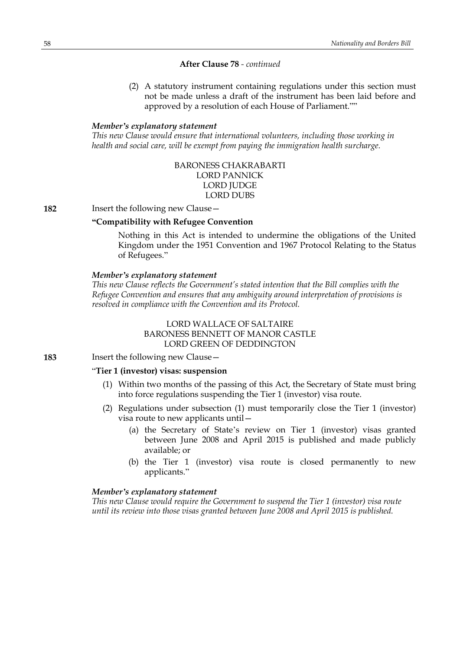(2) A statutory instrument containing regulations under this section must not be made unless a draft of the instrument has been laid before and approved by a resolution of each House of Parliament.""

### *Member's explanatory statement*

*This new Clause would ensure that international volunteers, including those working in health and social care, will be exempt from paying the immigration health surcharge.*

# BARONESS CHAKRABARTI LORD PANNICK LORD **JUDGE** LORD DUBS

**182** Insert the following new Clause -

# **"Compatibility with Refugee Convention**

Nothing in this Act is intended to undermine the obligations of the United Kingdom under the 1951 Convention and 1967 Protocol Relating to the Status of Refugees."

#### *Member's explanatory statement*

*This new Clause reflects the Government's stated intention that the Bill complies with the Refugee Convention and ensures that any ambiguity around interpretation of provisions is resolved in compliance with the Convention and its Protocol.*

# LORD WALLACE OF SALTAIRE BARONESS BENNETT OF MANOR CASTLE LORD GREEN OF DEDDINGTON

**183** Insert the following new Clause—

### "**Tier 1 (investor) visas: suspension**

- (1) Within two months of the passing of this Act, the Secretary of State must bring into force regulations suspending the Tier 1 (investor) visa route.
- (2) Regulations under subsection (1) must temporarily close the Tier 1 (investor) visa route to new applicants until—
	- (a) the Secretary of State's review on Tier 1 (investor) visas granted between June 2008 and April 2015 is published and made publicly available; or
	- (b) the Tier 1 (investor) visa route is closed permanently to new applicants."

#### *Member's explanatory statement*

*This new Clause would require the Government to suspend the Tier 1 (investor) visa route until its review into those visas granted between June 2008 and April 2015 is published.*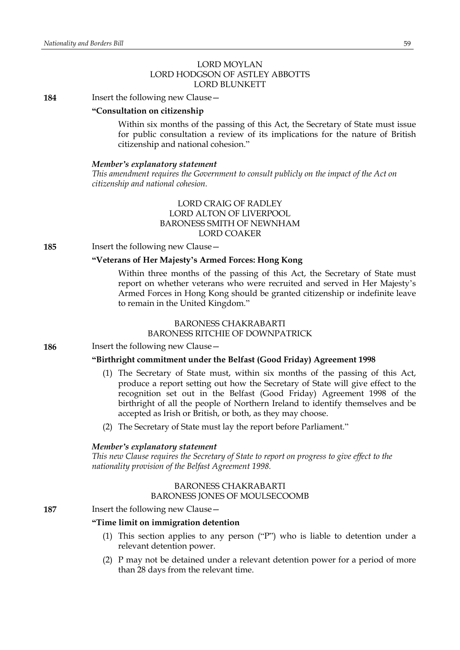# LORD MOYLAN LORD HODGSON OF ASTLEY ABBOTTS LORD BLUNKETT

**184** Insert the following new Clause—

# **"Consultation on citizenship**

Within six months of the passing of this Act, the Secretary of State must issue for public consultation a review of its implications for the nature of British citizenship and national cohesion."

#### *Member's explanatory statement*

*This amendment requires the Government to consult publicly on the impact of the Act on citizenship and national cohesion.*

# LORD CRAIG OF RADLEY LORD ALTON OF LIVERPOOL BARONESS SMITH OF NEWNHAM LORD COAKER

**185** Insert the following new Clause—

# **"Veterans of Her Majesty's Armed Forces: Hong Kong**

Within three months of the passing of this Act, the Secretary of State must report on whether veterans who were recruited and served in Her Majesty's Armed Forces in Hong Kong should be granted citizenship or indefinite leave to remain in the United Kingdom."

# BARONESS CHAKRABARTI BARONESS RITCHIE OF DOWNPATRICK

**186** Insert the following new Clause -

# **"Birthright commitment under the Belfast (Good Friday) Agreement 1998**

- (1) The Secretary of State must, within six months of the passing of this Act, produce a report setting out how the Secretary of State will give effect to the recognition set out in the Belfast (Good Friday) Agreement 1998 of the birthright of all the people of Northern Ireland to identify themselves and be accepted as Irish or British, or both, as they may choose.
- (2) The Secretary of State must lay the report before Parliament."

#### *Member's explanatory statement*

*This new Clause requires the Secretary of State to report on progress to give effect to the nationality provision of the Belfast Agreement 1998.*

# BARONESS CHAKRABARTI

### BARONESS JONES OF MOULSECOOMB

# **187** Insert the following new Clause—

# **"Time limit on immigration detention**

- (1) This section applies to any person ("P") who is liable to detention under a relevant detention power.
- (2) P may not be detained under a relevant detention power for a period of more than 28 days from the relevant time.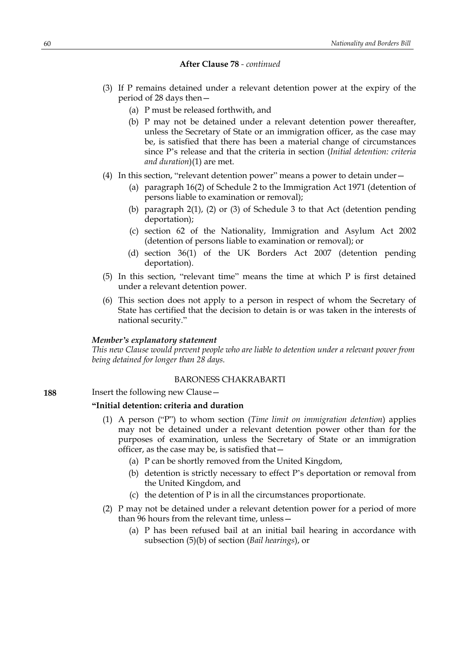- (3) If P remains detained under a relevant detention power at the expiry of the period of 28 days then—
	- (a) P must be released forthwith, and
	- (b) P may not be detained under a relevant detention power thereafter, unless the Secretary of State or an immigration officer, as the case may be, is satisfied that there has been a material change of circumstances since P's release and that the criteria in section (*Initial detention: criteria and duration*)(1) are met.
- (4) In this section, "relevant detention power" means a power to detain under—
	- (a) paragraph 16(2) of Schedule 2 to the Immigration Act 1971 (detention of persons liable to examination or removal);
	- (b) paragraph 2(1), (2) or (3) of Schedule 3 to that Act (detention pending deportation);
	- (c) section 62 of the Nationality, Immigration and Asylum Act 2002 (detention of persons liable to examination or removal); or
	- (d) section 36(1) of the UK Borders Act 2007 (detention pending deportation).
- (5) In this section, "relevant time" means the time at which P is first detained under a relevant detention power.
- (6) This section does not apply to a person in respect of whom the Secretary of State has certified that the decision to detain is or was taken in the interests of national security."

#### *Member's explanatory statement*

*This new Clause would prevent people who are liable to detention under a relevant power from being detained for longer than 28 days.*

### BARONESS CHAKRABARTI

**188** Insert the following new Clause -

# **"Initial detention: criteria and duration**

- (1) A person ("P") to whom section (*Time limit on immigration detention*) applies may not be detained under a relevant detention power other than for the purposes of examination, unless the Secretary of State or an immigration officer, as the case may be, is satisfied that—
	- (a) P can be shortly removed from the United Kingdom,
	- (b) detention is strictly necessary to effect P's deportation or removal from the United Kingdom, and
	- (c) the detention of P is in all the circumstances proportionate.
- (2) P may not be detained under a relevant detention power for a period of more than 96 hours from the relevant time, unless—
	- (a) P has been refused bail at an initial bail hearing in accordance with subsection (5)(b) of section (*Bail hearings*), or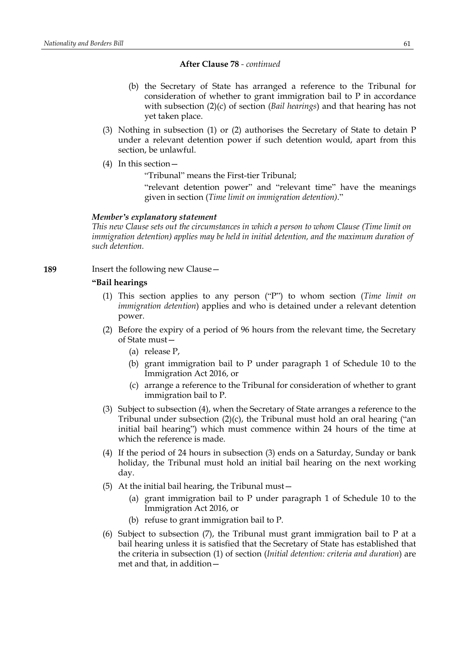- (b) the Secretary of State has arranged a reference to the Tribunal for consideration of whether to grant immigration bail to P in accordance with subsection (2)(c) of section (*Bail hearings*) and that hearing has not yet taken place.
- (3) Nothing in subsection (1) or (2) authorises the Secretary of State to detain P under a relevant detention power if such detention would, apart from this section, be unlawful.
- (4) In this section—

"Tribunal" means the First-tier Tribunal;

"relevant detention power" and "relevant time" have the meanings given in section (*Time limit on immigration detention)*."

# *Member's explanatory statement*

*This new Clause sets out the circumstances in which a person to whom Clause (Time limit on immigration detention) applies may be held in initial detention, and the maximum duration of such detention.*

**189** Insert the following new Clause -

# **"Bail hearings**

- (1) This section applies to any person ("P") to whom section (*Time limit on immigration detention*) applies and who is detained under a relevant detention power.
- (2) Before the expiry of a period of 96 hours from the relevant time, the Secretary of State must—
	- (a) release P,
	- (b) grant immigration bail to P under paragraph 1 of Schedule 10 to the Immigration Act 2016, or
	- (c) arrange a reference to the Tribunal for consideration of whether to grant immigration bail to P.
- (3) Subject to subsection (4), when the Secretary of State arranges a reference to the Tribunal under subsection (2)(c), the Tribunal must hold an oral hearing ("an initial bail hearing") which must commence within 24 hours of the time at which the reference is made.
- (4) If the period of 24 hours in subsection (3) ends on a Saturday, Sunday or bank holiday, the Tribunal must hold an initial bail hearing on the next working day.
- (5) At the initial bail hearing, the Tribunal must—
	- (a) grant immigration bail to P under paragraph 1 of Schedule 10 to the Immigration Act 2016, or
	- (b) refuse to grant immigration bail to P.
- (6) Subject to subsection (7), the Tribunal must grant immigration bail to P at a bail hearing unless it is satisfied that the Secretary of State has established that the criteria in subsection (1) of section (*Initial detention: criteria and duration*) are met and that, in addition—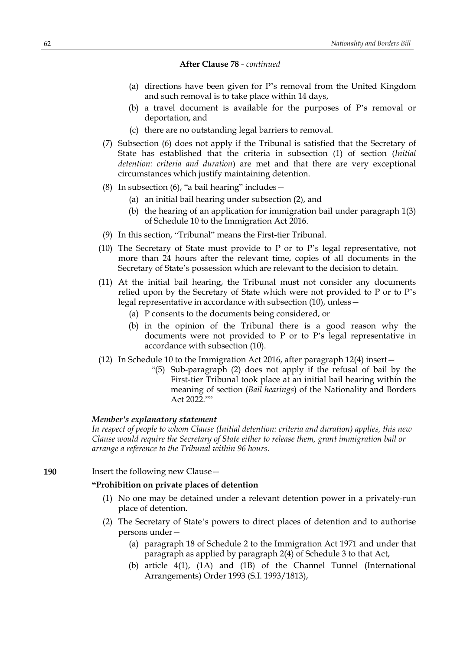- (a) directions have been given for P's removal from the United Kingdom and such removal is to take place within 14 days,
- (b) a travel document is available for the purposes of P's removal or deportation, and
- (c) there are no outstanding legal barriers to removal.
- (7) Subsection (6) does not apply if the Tribunal is satisfied that the Secretary of State has established that the criteria in subsection (1) of section (*Initial detention: criteria and duration*) are met and that there are very exceptional circumstances which justify maintaining detention.
- (8) In subsection  $(6)$ , "a bail hearing" includes  $-$ 
	- (a) an initial bail hearing under subsection (2), and
	- (b) the hearing of an application for immigration bail under paragraph 1(3) of Schedule 10 to the Immigration Act 2016.
- (9) In this section, "Tribunal" means the First-tier Tribunal.
- (10) The Secretary of State must provide to P or to P's legal representative, not more than 24 hours after the relevant time, copies of all documents in the Secretary of State's possession which are relevant to the decision to detain.
- (11) At the initial bail hearing, the Tribunal must not consider any documents relied upon by the Secretary of State which were not provided to P or to P's legal representative in accordance with subsection (10), unless—
	- (a) P consents to the documents being considered, or
	- (b) in the opinion of the Tribunal there is a good reason why the documents were not provided to P or to P's legal representative in accordance with subsection (10).
- (12) In Schedule 10 to the Immigration Act 2016, after paragraph 12(4) insert—
	- "(5) Sub-paragraph (2) does not apply if the refusal of bail by the First-tier Tribunal took place at an initial bail hearing within the meaning of section (*Bail hearings*) of the Nationality and Borders Act 2022.""

#### *Member's explanatory statement*

*In respect of people to whom Clause (Initial detention: criteria and duration) applies, this new Clause would require the Secretary of State either to release them, grant immigration bail or arrange a reference to the Tribunal within 96 hours.*

# **190** Insert the following new Clause—

# **"Prohibition on private places of detention**

- (1) No one may be detained under a relevant detention power in a privately-run place of detention.
- (2) The Secretary of State's powers to direct places of detention and to authorise persons under—
	- (a) paragraph 18 of Schedule 2 to the Immigration Act 1971 and under that paragraph as applied by paragraph 2(4) of Schedule 3 to that Act,
	- (b) article 4(1), (1A) and (1B) of the Channel Tunnel (International Arrangements) Order 1993 (S.I. 1993/1813),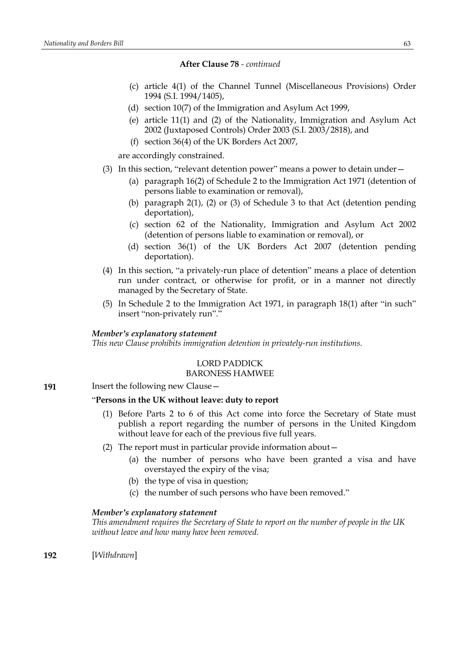- (c) article 4(1) of the Channel Tunnel (Miscellaneous Provisions) Order 1994 (S.I. 1994/1405),
- (d) section 10(7) of the Immigration and Asylum Act 1999,
- (e) article 11(1) and (2) of the Nationality, Immigration and Asylum Act 2002 (Juxtaposed Controls) Order 2003 (S.I. 2003/2818), and
- (f) section 36(4) of the UK Borders Act 2007,

are accordingly constrained.

- (3) In this section, "relevant detention power" means a power to detain under—
	- (a) paragraph 16(2) of Schedule 2 to the Immigration Act 1971 (detention of persons liable to examination or removal),
	- (b) paragraph 2(1), (2) or (3) of Schedule 3 to that Act (detention pending deportation),
	- (c) section 62 of the Nationality, Immigration and Asylum Act 2002 (detention of persons liable to examination or removal), or
	- (d) section 36(1) of the UK Borders Act 2007 (detention pending deportation).
- (4) In this section, "a privately-run place of detention" means a place of detention run under contract, or otherwise for profit, or in a manner not directly managed by the Secretary of State.
- (5) In Schedule 2 to the Immigration Act 1971, in paragraph 18(1) after "in such" insert "non-privately run"."

#### *Member's explanatory statement*

*This new Clause prohibits immigration detention in privately-run institutions.*

# LORD PADDICK

# BARONESS HAMWEE

191 **Insert the following new Clause** –

# "**Persons in the UK without leave: duty to report**

- (1) Before Parts 2 to 6 of this Act come into force the Secretary of State must publish a report regarding the number of persons in the United Kingdom without leave for each of the previous five full years.
- (2) The report must in particular provide information about—
	- (a) the number of persons who have been granted a visa and have overstayed the expiry of the visa;
	- (b) the type of visa in question;
	- (c) the number of such persons who have been removed."

# *Member's explanatory statement*

*This amendment requires the Secretary of State to report on the number of people in the UK without leave and how many have been removed.*

**192** [*Withdrawn*]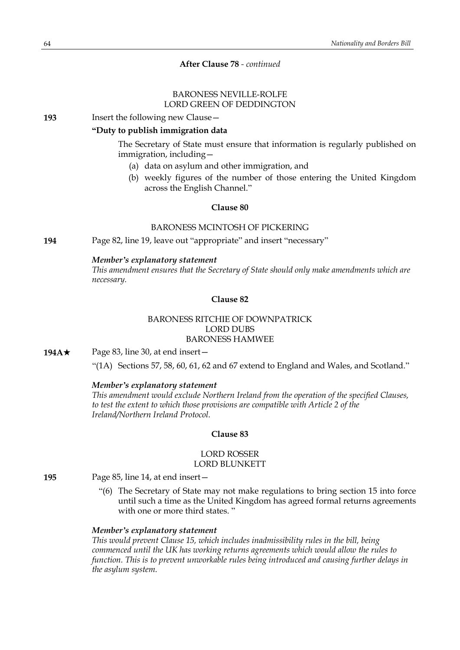# BARONESS NEVILLE-ROLFE LORD GREEN OF DEDDINGTON

### **193** Insert the following new Clause—

# **"Duty to publish immigration data**

The Secretary of State must ensure that information is regularly published on immigration, including—

- (a) data on asylum and other immigration, and
- (b) weekly figures of the number of those entering the United Kingdom across the English Channel."

# **Clause 80**

# BARONESS MCINTOSH OF PICKERING

**194** Page 82, line 19, leave out "appropriate" and insert "necessary"

### *Member's explanatory statement*

*This amendment ensures that the Secretary of State should only make amendments which are necessary.*

# **Clause 82**

# BARONESS RITCHIE OF DOWNPATRICK LORD DUBS BARONESS HAMWEE

**194A★** Page 83, line 30, at end insert—

"(1A) Sections 57, 58, 60, 61, 62 and 67 extend to England and Wales, and Scotland."

### *Member's explanatory statement*

*This amendment would exclude Northern Ireland from the operation of the specified Clauses, to test the extent to which those provisions are compatible with Article 2 of the Ireland/Northern Ireland Protocol.*

# **Clause 83**

#### LORD ROSSER LORD BLUNKETT

**195** Page 85, line 14, at end insert—

"(6) The Secretary of State may not make regulations to bring section 15 into force until such a time as the United Kingdom has agreed formal returns agreements with one or more third states. "

### *Member's explanatory statement*

*This would prevent Clause 15, which includes inadmissibility rules in the bill, being commenced until the UK has working returns agreements which would allow the rules to function. This is to prevent unworkable rules being introduced and causing further delays in the asylum system.*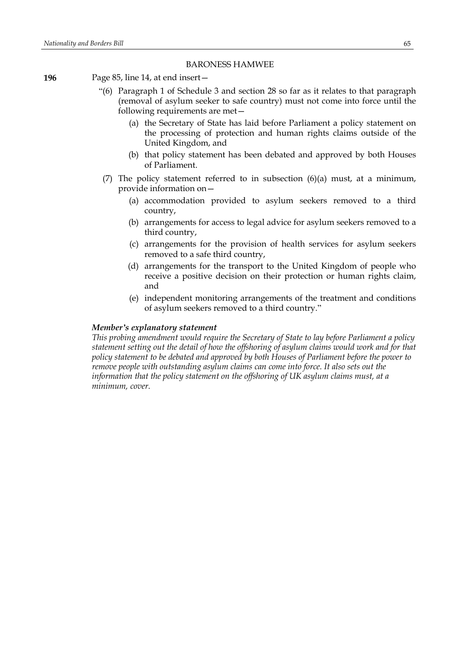### BARONESS HAMWEE

- **196** Page 85, line 14, at end insert—
	- "(6) Paragraph 1 of Schedule 3 and section 28 so far as it relates to that paragraph (removal of asylum seeker to safe country) must not come into force until the following requirements are met—
		- (a) the Secretary of State has laid before Parliament a policy statement on the processing of protection and human rights claims outside of the United Kingdom, and
		- (b) that policy statement has been debated and approved by both Houses of Parliament.
	- (7) The policy statement referred to in subsection (6)(a) must, at a minimum, provide information on—
		- (a) accommodation provided to asylum seekers removed to a third country,
		- (b) arrangements for access to legal advice for asylum seekers removed to a third country,
		- (c) arrangements for the provision of health services for asylum seekers removed to a safe third country,
		- (d) arrangements for the transport to the United Kingdom of people who receive a positive decision on their protection or human rights claim, and
		- (e) independent monitoring arrangements of the treatment and conditions of asylum seekers removed to a third country."

# *Member's explanatory statement*

*This probing amendment would require the Secretary of State to lay before Parliament a policy statement setting out the detail of how the offshoring of asylum claims would work and for that policy statement to be debated and approved by both Houses of Parliament before the power to remove people with outstanding asylum claims can come into force. It also sets out the information that the policy statement on the offshoring of UK asylum claims must, at a minimum, cover.*